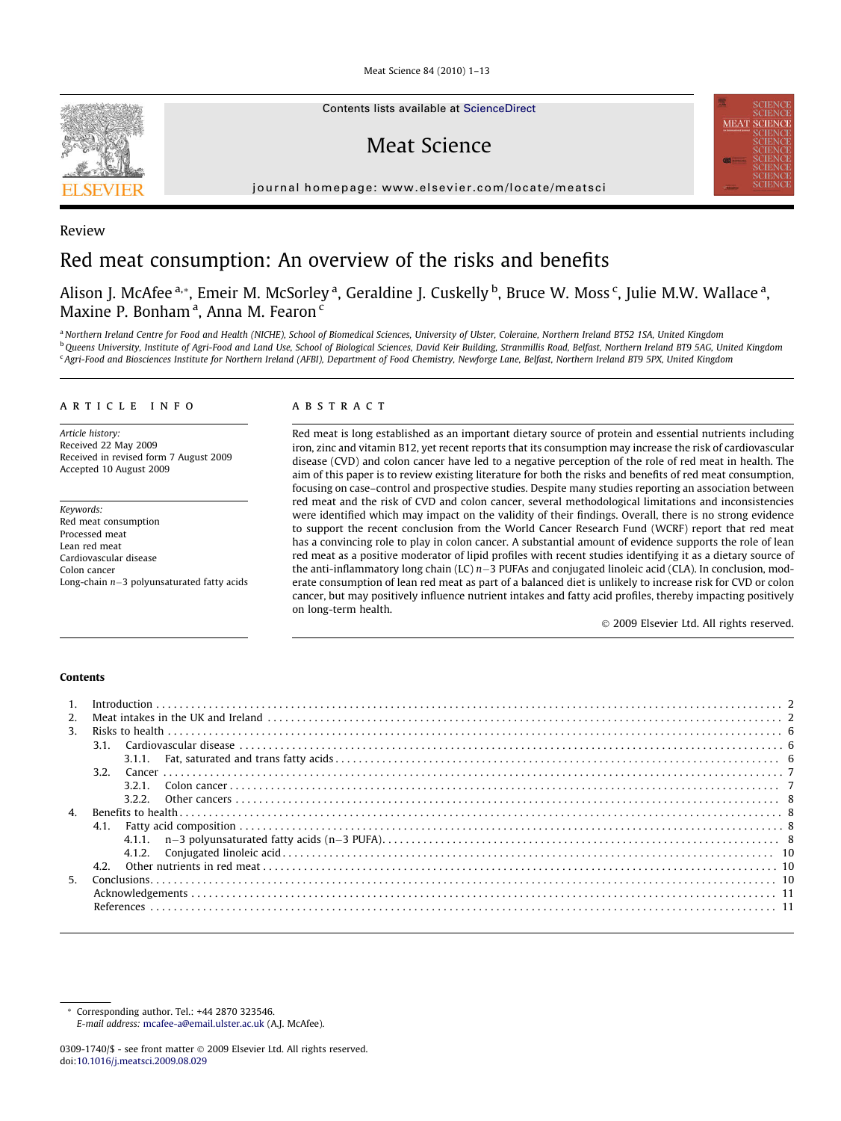Meat Science 84 (2010) 1–13



Contents lists available at [ScienceDirect](http://www.sciencedirect.com/science/journal/03091740)

Meat Science

journal homepage: [www.elsevier.com/locate/meatsci](http://www.elsevier.com/locate/meatsci)



## Review

# Red meat consumption: An overview of the risks and benefits

Alison J. McAfee <sup>a,</sup>\*, Emeir M. McSorley <sup>a</sup>, Geraldine J. Cuskelly <sup>b</sup>, Bruce W. Moss <sup>c</sup>, Julie M.W. Wallace <sup>a</sup>, Maxine P. Bonham<sup>a</sup>, Anna M. Fearon<sup>c</sup>

a Northern Ireland Centre for Food and Health (NICHE), School of Biomedical Sciences, University of Ulster, Coleraine, Northern Ireland BT52 1SA, United Kingdom <sup>b</sup>Queens University, Institute of Agri-Food and Land Use, School of Biological Sciences, David Keir Building, Stranmillis Road, Belfast, Northern Ireland BT9 5AG, United Kingdom <sup>c</sup> Agri-Food and Biosciences Institute for Northern Ireland (AFBI), Department of Food Chemistry, Newforge Lane, Belfast, Northern Ireland BT9 5PX, United Kingdom

## article info

Article history: Received 22 May 2009 Received in revised form 7 August 2009 Accepted 10 August 2009

Keywords: Red meat consumption Processed meat Lean red meat Cardiovascular disease Colon cancer Long-chain n-3 polyunsaturated fatty acids

## **ABSTRACT**

Red meat is long established as an important dietary source of protein and essential nutrients including iron, zinc and vitamin B12, yet recent reports that its consumption may increase the risk of cardiovascular disease (CVD) and colon cancer have led to a negative perception of the role of red meat in health. The aim of this paper is to review existing literature for both the risks and benefits of red meat consumption, focusing on case–control and prospective studies. Despite many studies reporting an association between red meat and the risk of CVD and colon cancer, several methodological limitations and inconsistencies were identified which may impact on the validity of their findings. Overall, there is no strong evidence to support the recent conclusion from the World Cancer Research Fund (WCRF) report that red meat has a convincing role to play in colon cancer. A substantial amount of evidence supports the role of lean red meat as a positive moderator of lipid profiles with recent studies identifying it as a dietary source of the anti-inflammatory long chain (LC)  $n-3$  PUFAs and conjugated linoleic acid (CLA). In conclusion, moderate consumption of lean red meat as part of a balanced diet is unlikely to increase risk for CVD or colon cancer, but may positively influence nutrient intakes and fatty acid profiles, thereby impacting positively on long-term health.

- 2009 Elsevier Ltd. All rights reserved.

## Contents

| 2 <sub>1</sub> |                  |  |
|----------------|------------------|--|
|                |                  |  |
| 3.             |                  |  |
|                | 3.1.             |  |
|                | 3.1.1.           |  |
|                | 3.2 <sub>1</sub> |  |
|                | 321              |  |
|                | 3.2.2            |  |
| $\mathbf{A}$   |                  |  |
|                | 4.1.             |  |
|                |                  |  |
|                | 4.1.2.           |  |
|                | 4.2 <sub>1</sub> |  |
| 5.             |                  |  |
|                |                  |  |
|                |                  |  |

Corresponding author. Tel.: +44 2870 323546. E-mail address: [mcafee-a@email.ulster.ac.uk](mailto:mcafee-a@email.ulster.ac.uk) (A.J. McAfee).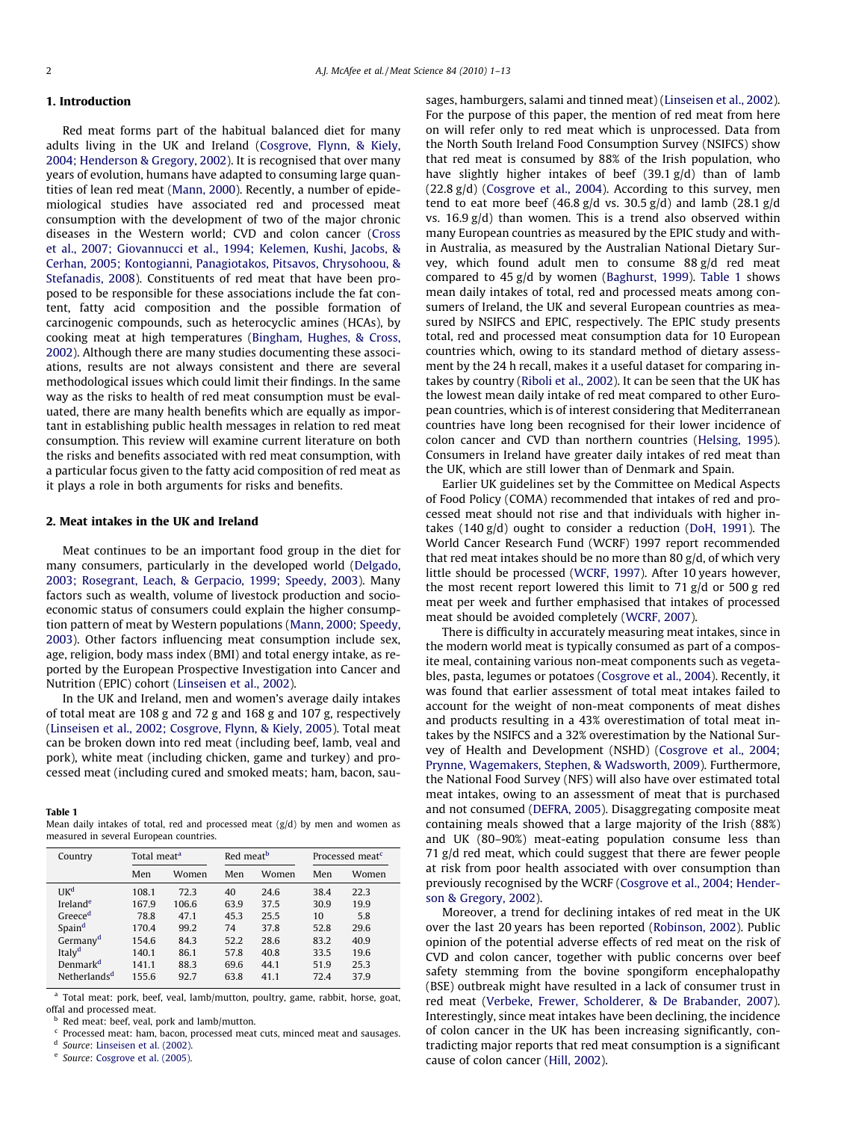## 1. Introduction

Red meat forms part of the habitual balanced diet for many adults living in the UK and Ireland [\(Cosgrove, Flynn, & Kiely,](#page-10-0) [2004; Henderson & Gregory, 2002\)](#page-10-0). It is recognised that over many years of evolution, humans have adapted to consuming large quantities of lean red meat ([Mann, 2000\)](#page-11-0). Recently, a number of epidemiological studies have associated red and processed meat consumption with the development of two of the major chronic diseases in the Western world; CVD and colon cancer ([Cross](#page-10-0) [et al., 2007; Giovannucci et al., 1994; Kelemen, Kushi, Jacobs, &](#page-10-0) [Cerhan, 2005; Kontogianni, Panagiotakos, Pitsavos, Chrysohoou, &](#page-10-0) [Stefanadis, 2008\)](#page-10-0). Constituents of red meat that have been proposed to be responsible for these associations include the fat content, fatty acid composition and the possible formation of carcinogenic compounds, such as heterocyclic amines (HCAs), by cooking meat at high temperatures ([Bingham, Hughes, & Cross,](#page-10-0) [2002\)](#page-10-0). Although there are many studies documenting these associations, results are not always consistent and there are several methodological issues which could limit their findings. In the same way as the risks to health of red meat consumption must be evaluated, there are many health benefits which are equally as important in establishing public health messages in relation to red meat consumption. This review will examine current literature on both the risks and benefits associated with red meat consumption, with a particular focus given to the fatty acid composition of red meat as it plays a role in both arguments for risks and benefits.

## 2. Meat intakes in the UK and Ireland

Meat continues to be an important food group in the diet for many consumers, particularly in the developed world [\(Delgado,](#page-10-0) [2003; Rosegrant, Leach, & Gerpacio, 1999; Speedy, 2003\)](#page-10-0). Many factors such as wealth, volume of livestock production and socioeconomic status of consumers could explain the higher consumption pattern of meat by Western populations [\(Mann, 2000; Speedy,](#page-11-0) [2003\)](#page-11-0). Other factors influencing meat consumption include sex, age, religion, body mass index (BMI) and total energy intake, as reported by the European Prospective Investigation into Cancer and Nutrition (EPIC) cohort ([Linseisen et al., 2002](#page-11-0)).

In the UK and Ireland, men and women's average daily intakes of total meat are 108 g and 72 g and 168 g and 107 g, respectively ([Linseisen et al., 2002; Cosgrove, Flynn, & Kiely, 2005\)](#page-11-0). Total meat can be broken down into red meat (including beef, lamb, veal and pork), white meat (including chicken, game and turkey) and processed meat (including cured and smoked meats; ham, bacon, sau-

#### Table 1

Mean daily intakes of total, red and processed meat (g/d) by men and women as measured in several European countries.

| Country                  | Total meat <sup>a</sup> |       | Red meat <sup>b</sup> |       | Processed meat <sup>c</sup> |       |  |
|--------------------------|-------------------------|-------|-----------------------|-------|-----------------------------|-------|--|
|                          | Men                     | Women |                       | Women | Men                         | Women |  |
| UK <sup>d</sup>          | 108.1                   | 72.3  | 40                    | 24.6  | 38.4                        | 22.3  |  |
| Ireland <sup>e</sup>     | 167.9                   | 106.6 | 63.9                  | 37.5  | 30.9                        | 19.9  |  |
| Greece <sup>d</sup>      | 78.8                    | 47.1  | 45.3                  | 25.5  | 10                          | 5.8   |  |
| Spain <sup>d</sup>       | 170.4                   | 99.2  | 74                    | 37.8  | 52.8                        | 29.6  |  |
| Germany <sup>d</sup>     | 154.6                   | 84.3  | 52.2                  | 28.6  | 83.2                        | 40.9  |  |
| Italy <sup>d</sup>       | 140.1                   | 86.1  | 57.8                  | 40.8  | 33.5                        | 19.6  |  |
| Denmark <sup>d</sup>     | 141.1                   | 88.3  | 69.6                  | 44.1  | 51.9                        | 25.3  |  |
| Netherlands <sup>d</sup> | 155.6                   | 92.7  | 63.8                  | 41.1  | 72.4                        | 37.9  |  |

<sup>a</sup> Total meat: pork, beef, veal, lamb/mutton, poultry, game, rabbit, horse, goat, offal and processed meat.

<sup>b</sup> Red meat: beef, veal, pork and lamb/mutton.

<sup>c</sup> Processed meat: ham, bacon, processed meat cuts, minced meat and sausages.

<sup>d</sup> Source: [Linseisen et al. \(2002\)](#page-11-0).

<sup>e</sup> Source: [Cosgrove et al. \(2005\).](#page-10-0)

sages, hamburgers, salami and tinned meat) ([Linseisen et al., 2002\)](#page-11-0). For the purpose of this paper, the mention of red meat from here on will refer only to red meat which is unprocessed. Data from the North South Ireland Food Consumption Survey (NSIFCS) show that red meat is consumed by 88% of the Irish population, who have slightly higher intakes of beef (39.1 g/d) than of lamb (22.8 g/d) ([Cosgrove et al., 2004\)](#page-10-0). According to this survey, men tend to eat more beef  $(46.8 \text{ g/d vs. } 30.5 \text{ g/d})$  and lamb  $(28.1 \text{ g/d})$ vs.  $16.9 \text{ g/d}$ ) than women. This is a trend also observed within many European countries as measured by the EPIC study and within Australia, as measured by the Australian National Dietary Survey, which found adult men to consume 88 g/d red meat compared to 45 g/d by women ([Baghurst, 1999\)](#page-10-0). Table 1 shows mean daily intakes of total, red and processed meats among consumers of Ireland, the UK and several European countries as measured by NSIFCS and EPIC, respectively. The EPIC study presents total, red and processed meat consumption data for 10 European countries which, owing to its standard method of dietary assessment by the 24 h recall, makes it a useful dataset for comparing intakes by country [\(Riboli et al., 2002](#page-11-0)). It can be seen that the UK has the lowest mean daily intake of red meat compared to other European countries, which is of interest considering that Mediterranean countries have long been recognised for their lower incidence of colon cancer and CVD than northern countries [\(Helsing, 1995\)](#page-11-0). Consumers in Ireland have greater daily intakes of red meat than the UK, which are still lower than of Denmark and Spain.

Earlier UK guidelines set by the Committee on Medical Aspects of Food Policy (COMA) recommended that intakes of red and processed meat should not rise and that individuals with higher intakes  $(140 \text{ g/d})$  ought to consider a reduction ([DoH, 1991](#page-10-0)). The World Cancer Research Fund (WCRF) 1997 report recommended that red meat intakes should be no more than 80 g/d, of which very little should be processed ([WCRF, 1997\)](#page-12-0). After 10 years however, the most recent report lowered this limit to 71 g/d or 500 g red meat per week and further emphasised that intakes of processed meat should be avoided completely [\(WCRF, 2007](#page-12-0)).

There is difficulty in accurately measuring meat intakes, since in the modern world meat is typically consumed as part of a composite meal, containing various non-meat components such as vegetables, pasta, legumes or potatoes [\(Cosgrove et al., 2004\)](#page-10-0). Recently, it was found that earlier assessment of total meat intakes failed to account for the weight of non-meat components of meat dishes and products resulting in a 43% overestimation of total meat intakes by the NSIFCS and a 32% overestimation by the National Survey of Health and Development (NSHD) [\(Cosgrove et al., 2004;](#page-10-0) [Prynne, Wagemakers, Stephen, & Wadsworth, 2009\)](#page-10-0). Furthermore, the National Food Survey (NFS) will also have over estimated total meat intakes, owing to an assessment of meat that is purchased and not consumed ([DEFRA, 2005\)](#page-10-0). Disaggregating composite meat containing meals showed that a large majority of the Irish (88%) and UK (80–90%) meat-eating population consume less than 71 g/d red meat, which could suggest that there are fewer people at risk from poor health associated with over consumption than previously recognised by the WCRF [\(Cosgrove et al., 2004; Hender](#page-10-0)[son & Gregory, 2002\)](#page-10-0).

Moreover, a trend for declining intakes of red meat in the UK over the last 20 years has been reported ([Robinson, 2002\)](#page-11-0). Public opinion of the potential adverse effects of red meat on the risk of CVD and colon cancer, together with public concerns over beef safety stemming from the bovine spongiform encephalopathy (BSE) outbreak might have resulted in a lack of consumer trust in red meat ([Verbeke, Frewer, Scholderer, & De Brabander, 2007\)](#page-12-0). Interestingly, since meat intakes have been declining, the incidence of colon cancer in the UK has been increasing significantly, contradicting major reports that red meat consumption is a significant cause of colon cancer ([Hill, 2002\)](#page-11-0).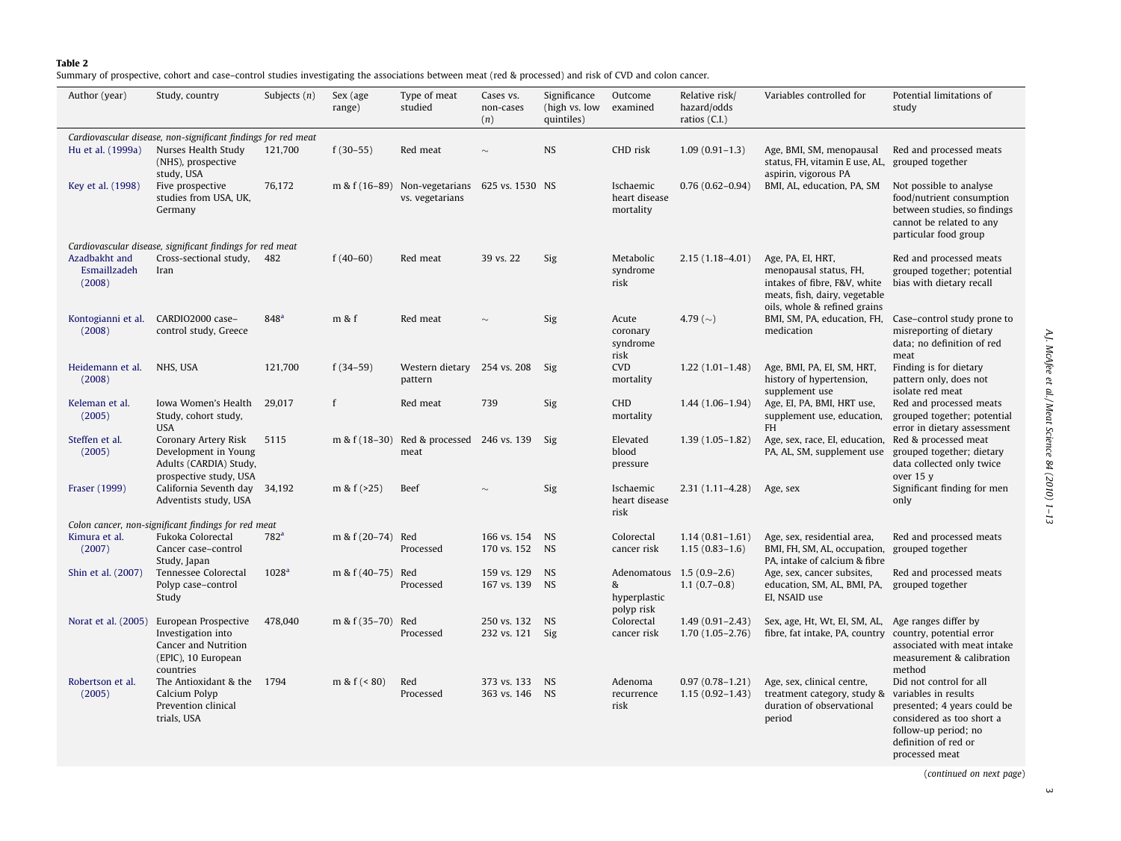#### <span id="page-2-0"></span>Table 2

Summary of prospective, cohort and case–control studies investigating the associations between meat (red & processed) and risk of CVD and colon cancer.

| Author (year)                                                 | Study, country                                                                                         | Subjects $(n)$    | Sex (age<br>range) | Type of meat<br>studied                                          | Cases vs.<br>non-cases<br>(n)     | Significance<br>(high vs. low<br>quintiles) | Outcome<br>examined                     | Relative risk/<br>hazard/odds<br>ratios (C.I.) | Variables controlled for                                                                                                                     | Potential limitations of<br>study                                                                                                                                             |
|---------------------------------------------------------------|--------------------------------------------------------------------------------------------------------|-------------------|--------------------|------------------------------------------------------------------|-----------------------------------|---------------------------------------------|-----------------------------------------|------------------------------------------------|----------------------------------------------------------------------------------------------------------------------------------------------|-------------------------------------------------------------------------------------------------------------------------------------------------------------------------------|
| Cardiovascular disease, non-significant findings for red meat |                                                                                                        |                   |                    |                                                                  |                                   |                                             |                                         |                                                |                                                                                                                                              |                                                                                                                                                                               |
| Hu et al. (1999a)                                             | Nurses Health Study<br>(NHS), prospective<br>study, USA                                                | 121,700           | $f(30-55)$         | Red meat                                                         | $\sim$                            | <b>NS</b>                                   | CHD risk                                | $1.09(0.91-1.3)$                               | Age, BMI, SM, menopausal<br>status, FH, vitamin E use, AL,<br>aspirin, vigorous PA                                                           | Red and processed meats<br>grouped together                                                                                                                                   |
| Key et al. (1998)                                             | Five prospective<br>studies from USA, UK,<br>Germany                                                   | 76,172            |                    | m & f (16-89) Non-vegetarians 625 vs. 1530 NS<br>vs. vegetarians |                                   |                                             | Ischaemic<br>heart disease<br>mortality | $0.76(0.62 - 0.94)$                            | BMI, AL, education, PA, SM                                                                                                                   | Not possible to analyse<br>food/nutrient consumption<br>between studies, so findings<br>cannot be related to any<br>particular food group                                     |
|                                                               | Cardiovascular disease, significant findings for red meat                                              |                   |                    |                                                                  |                                   |                                             |                                         |                                                |                                                                                                                                              |                                                                                                                                                                               |
| Azadbakht and<br>Esmaillzadeh<br>(2008)                       | Cross-sectional study, 482<br>Iran                                                                     |                   | $f(40-60)$         | Red meat                                                         | 39 vs. 22                         | Sig                                         | Metabolic<br>syndrome<br>risk           | $2.15(1.18-4.01)$                              | Age, PA, EI, HRT,<br>menopausal status, FH,<br>intakes of fibre, F&V, white<br>meats, fish, dairy, vegetable<br>oils, whole & refined grains | Red and processed meats<br>grouped together; potential<br>bias with dietary recall                                                                                            |
| (2008)                                                        | Kontogianni et al. CARDIO2000 case-<br>control study, Greece                                           | 848 <sup>a</sup>  | m & f              | Red meat                                                         | $\sim$                            | Sig                                         | Acute<br>coronary<br>syndrome<br>risk   | 4.79 ( $\sim$ )                                | BMI, SM, PA, education, FH,<br>medication                                                                                                    | Case-control study prone to<br>misreporting of dietary<br>data; no definition of red<br>meat                                                                                  |
| Heidemann et al.<br>(2008)                                    | NHS, USA                                                                                               | 121,700           | $f(34-59)$         | Western dietary 254 vs. 208<br>pattern                           |                                   | Sig                                         | <b>CVD</b><br>mortality                 | $1.22(1.01-1.48)$                              | Age, BMI, PA, EI, SM, HRT,<br>history of hypertension,<br>supplement use                                                                     | Finding is for dietary<br>pattern only, does not<br>isolate red meat                                                                                                          |
| Keleman et al.<br>(2005)                                      | Iowa Women's Health<br>Study, cohort study,<br><b>USA</b>                                              | 29.017            | f                  | Red meat                                                         | 739                               | Sig                                         | CHD<br>mortality                        | $1.44(1.06-1.94)$                              | Age, EI, PA, BMI, HRT use,<br>supplement use, education,<br><b>FH</b>                                                                        | Red and processed meats<br>grouped together; potential<br>error in dietary assessment                                                                                         |
| Steffen et al.<br>(2005)                                      | Coronary Artery Risk<br>Development in Young<br>Adults (CARDIA) Study,<br>prospective study, USA       | 5115              | m & $f(18-30)$     | Red & processed 246 vs. 139 Sig<br>meat                          |                                   |                                             | Elevated<br>blood<br>pressure           | $1.39(1.05-1.82)$                              | Age, sex, race, EI, education,<br>PA, AL, SM, supplement use                                                                                 | Red & processed meat<br>grouped together; dietary<br>data collected only twice<br>over 15 y                                                                                   |
| Fraser (1999)                                                 | California Seventh day 34,192<br>Adventists study, USA                                                 |                   | m & $f(>25)$       | Beef                                                             | $\sim$                            | Sig                                         | Ischaemic<br>heart disease<br>risk      | $2.31(1.11 - 4.28)$                            | Age, sex                                                                                                                                     | Significant finding for men<br>only                                                                                                                                           |
|                                                               | Colon cancer, non-significant findings for red meat                                                    |                   |                    |                                                                  |                                   |                                             |                                         |                                                |                                                                                                                                              |                                                                                                                                                                               |
| Kimura et al.<br>(2007)                                       | Fukoka Colorectal<br>Cancer case-control                                                               | 782 <sup>a</sup>  | m & f (20-74) Red  | Processed                                                        | 166 vs. 154<br>170 vs. 152 NS     | <b>NS</b>                                   | Colorectal<br>cancer risk               | $1.14(0.81 - 1.61)$<br>$1.15(0.83 - 1.6)$      | Age, sex, residential area,<br>BMI, FH, SM, AL, occupation, grouped together                                                                 | Red and processed meats                                                                                                                                                       |
|                                                               | Study, Japan                                                                                           |                   |                    |                                                                  |                                   |                                             |                                         |                                                | PA, intake of calcium & fibre                                                                                                                |                                                                                                                                                                               |
| Shin et al. (2007)                                            | Tennessee Colorectal<br>Polyp case-control<br>Study                                                    | 1028 <sup>a</sup> | m & f (40-75) Red  | Processed                                                        | 159 vs. 129<br>167 vs. 139 NS     | <b>NS</b>                                   | &<br>hyperplastic<br>polyp risk         | Adenomatous 1.5 (0.9-2.6)<br>$1.1(0.7-0.8)$    | Age, sex, cancer subsites,<br>education, SM, AL, BMI, PA,<br>EI, NSAID use                                                                   | Red and processed meats<br>grouped together                                                                                                                                   |
| Norat et al. (2005)                                           | European Prospective<br>Investigation into<br>Cancer and Nutrition<br>(EPIC), 10 European<br>countries | 478,040           | $m \& f(35-70)$    | Red<br>Processed                                                 | 250 vs. 132 NS<br>232 vs. 121 Sig |                                             | Colorectal<br>cancer risk               | $1.49(0.91 - 2.43)$<br>$1.70(1.05 - 2.76)$     | Sex, age, Ht, Wt, EI, SM, AL,<br>fibre, fat intake, PA, country                                                                              | Age ranges differ by<br>country, potential error<br>associated with meat intake<br>measurement & calibration<br>method                                                        |
| Robertson et al.<br>(2005)                                    | The Antioxidant & the 1794<br>Calcium Polyp<br>Prevention clinical<br>trials, USA                      |                   | m & $f(< 80)$      | Red<br>Processed                                                 | 373 vs. 133<br>363 vs. 146 NS     | <b>NS</b>                                   | Adenoma<br>recurrence<br>risk           | $0.97(0.78 - 1.21)$<br>$1.15(0.92 - 1.43)$     | Age, sex, clinical centre,<br>treatment category, study &<br>duration of observational<br>period                                             | Did not control for all<br>variables in results<br>presented; 4 years could be<br>considered as too short a<br>follow-up period; no<br>definition of red or<br>processed meat |

AJ. McAfee et al/Meat Science 84 (2010) 1-13 A.J. McAfee et al. / Meat Science 84 (2010) 1–13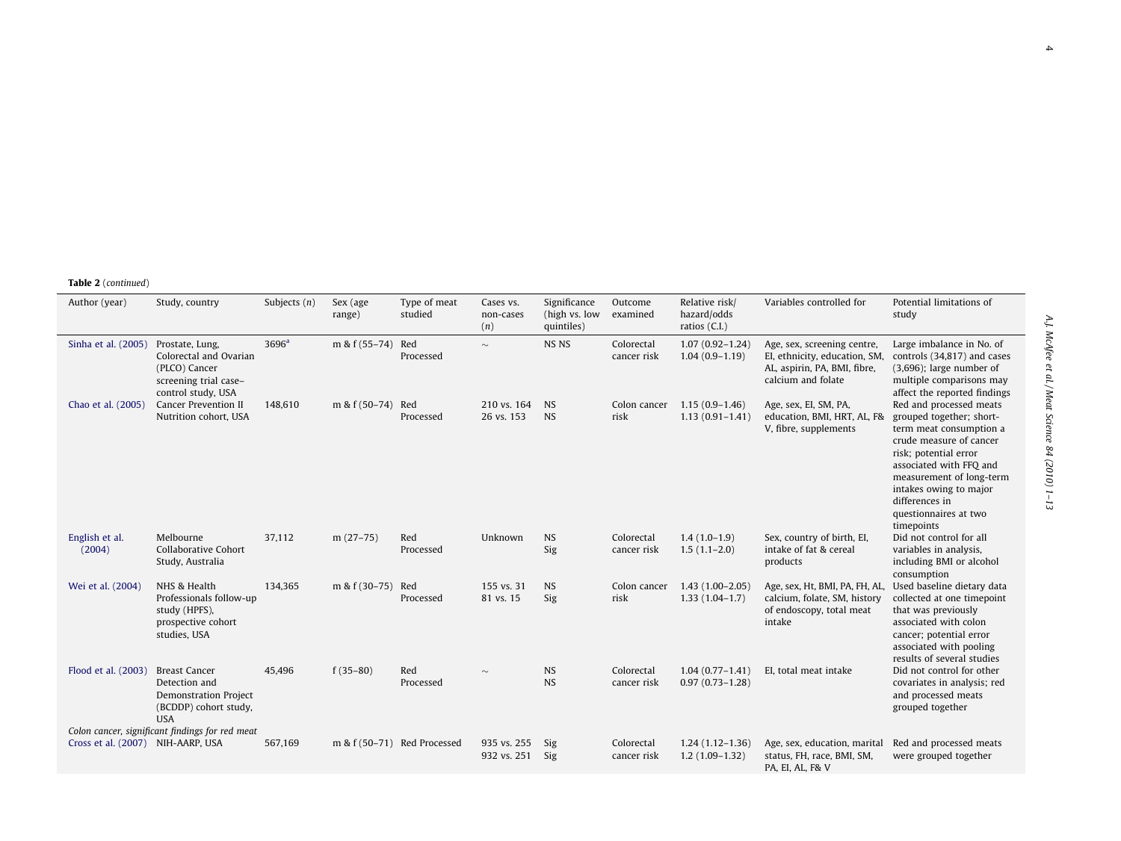| Author (year)                     | Study, country                                                                                               | Subjects $(n)$    | Sex (age<br>range) | Type of meat<br>studied     | Cases vs.<br>non-cases<br>(n) | Significance<br>(high vs. low<br>quintiles) | Outcome<br>examined       | Relative risk/<br>hazard/odds<br>ratios $(C.I.)$ | Variables controlled for                                                                                           | Potential limitations of<br>study                                                                                                                                                                                                                                            |
|-----------------------------------|--------------------------------------------------------------------------------------------------------------|-------------------|--------------------|-----------------------------|-------------------------------|---------------------------------------------|---------------------------|--------------------------------------------------|--------------------------------------------------------------------------------------------------------------------|------------------------------------------------------------------------------------------------------------------------------------------------------------------------------------------------------------------------------------------------------------------------------|
| Sinha et al. (2005)               | Prostate, Lung,<br>Colorectal and Ovarian<br>(PLCO) Cancer<br>screening trial case-<br>control study, USA    | 3696 <sup>a</sup> | $m & f(55-74)$     | Red<br>Processed            | $\sim$                        | NS NS                                       | Colorectal<br>cancer risk | $1.07(0.92 - 1.24)$<br>$1.04(0.9 - 1.19)$        | Age, sex, screening centre,<br>EI, ethnicity, education, SM,<br>AL, aspirin, PA, BMI, fibre,<br>calcium and folate | Large imbalance in No. of<br>controls (34,817) and cases<br>$(3,696)$ ; large number of<br>multiple comparisons may<br>affect the reported findings                                                                                                                          |
| Chao et al. (2005)                | Cancer Prevention II<br>Nutrition cohort, USA                                                                | 148,610           | m & f (50-74) Red  | Processed                   | 210 vs. 164<br>26 vs. 153     | <b>NS</b><br><b>NS</b>                      | Colon cancer<br>risk      | $1.15(0.9-1.46)$<br>$1.13(0.91 - 1.41)$          | Age, sex, EI, SM, PA,<br>education, BMI, HRT, AL, F&<br>V, fibre, supplements                                      | Red and processed meats<br>grouped together; short-<br>term meat consumption a<br>crude measure of cancer<br>risk; potential error<br>associated with FFO and<br>measurement of long-term<br>intakes owing to major<br>differences in<br>questionnaires at two<br>timepoints |
| English et al.<br>(2004)          | Melbourne<br>Collaborative Cohort<br>Study, Australia                                                        | 37,112            | $m(27-75)$         | Red<br>Processed            | Unknown                       | <b>NS</b><br>Sig                            | Colorectal<br>cancer risk | $1.4(1.0-1.9)$<br>$1.5(1.1-2.0)$                 | Sex, country of birth, EI,<br>intake of fat & cereal<br>products                                                   | Did not control for all<br>variables in analysis,<br>including BMI or alcohol<br>consumption                                                                                                                                                                                 |
| Wei et al. (2004)                 | NHS & Health<br>Professionals follow-up<br>study (HPFS),<br>prospective cohort<br>studies, USA               | 134,365           | m & f (30-75) Red  | Processed                   | 155 vs. 31<br>81 vs. 15       | <b>NS</b><br>Sig                            | Colon cancer<br>risk      | $1.43(1.00-2.05)$<br>$1.33(1.04-1.7)$            | Age, sex, Ht, BMI, PA, FH, AL,<br>calcium, folate, SM, history<br>of endoscopy, total meat<br>intake               | Used baseline dietary data<br>collected at one timepoint<br>that was previously<br>associated with colon<br>cancer; potential error<br>associated with pooling<br>results of several studies                                                                                 |
| Flood et al. (2003)               | <b>Breast Cancer</b><br>Detection and<br><b>Demonstration Project</b><br>(BCDDP) cohort study,<br><b>USA</b> | 45,496            | $f(35-80)$         | Red<br>Processed            | $\sim$                        | <b>NS</b><br><b>NS</b>                      | Colorectal<br>cancer risk | $1.04(0.77 - 1.41)$<br>$0.97(0.73 - 1.28)$       | EI, total meat intake                                                                                              | Did not control for other<br>covariates in analysis; red<br>and processed meats<br>grouped together                                                                                                                                                                          |
| Cross et al. (2007) NIH-AARP, USA | Colon cancer, significant findings for red meat                                                              | 567,169           |                    | m & f (50-71) Red Processed | 935 vs. 255<br>932 vs. 251    | Sig<br>Sig                                  | Colorectal<br>cancer risk | $1.24(1.12-1.36)$<br>$1.2(1.09-1.32)$            | Age, sex, education, marital<br>status, FH, race, BMI, SM,<br>PA, EI, AL, F& V                                     | Red and processed meats<br>were grouped together                                                                                                                                                                                                                             |

4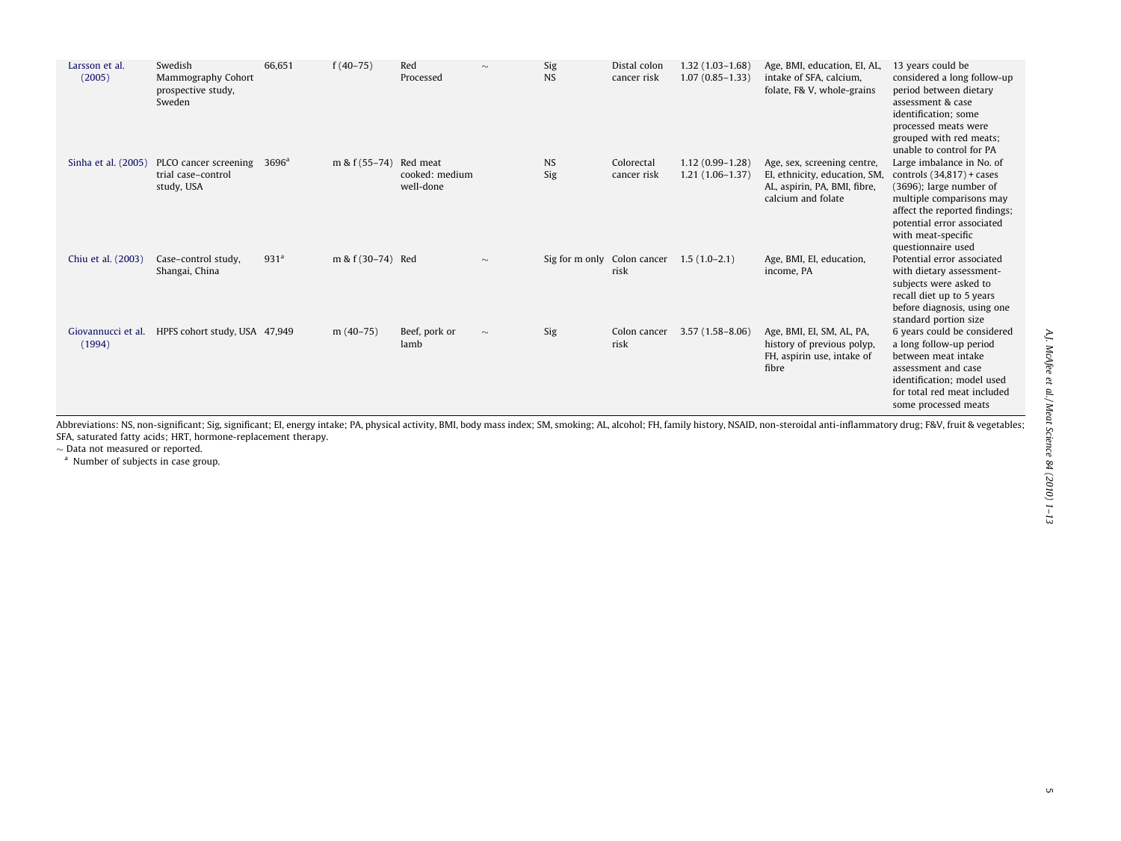<span id="page-4-0"></span>

| Larsson et al.<br>(2005)     | Swedish<br>Mammography Cohort<br>prospective study,<br>Sweden | 66,651           | $f(40-75)$        | Red<br>Processed                        | $\sim$ | Sig<br><b>NS</b>            | Distal colon<br>cancer risk | $1.32(1.03 - 1.68)$<br>$1.07(0.85 - 1.33)$ | Age, BMI, education, EI, AL,<br>intake of SFA, calcium.<br>folate, F& V, whole-grains                              | 13 years could be<br>considered a long follow-up<br>period between dietary<br>assessment & case<br>identification; some<br>processed meats were<br>grouped with red meats;<br>unable to control for PA                        |
|------------------------------|---------------------------------------------------------------|------------------|-------------------|-----------------------------------------|--------|-----------------------------|-----------------------------|--------------------------------------------|--------------------------------------------------------------------------------------------------------------------|-------------------------------------------------------------------------------------------------------------------------------------------------------------------------------------------------------------------------------|
| Sinha et al. (2005)          | PLCO cancer screening<br>trial case-control<br>study, USA     | $3696^{\rm a}$   | m & $f(55-74)$    | Red meat<br>cooked: medium<br>well-done |        | <b>NS</b><br>Sig            | Colorectal<br>cancer risk   | $1.12(0.99 - 1.28)$<br>$1.21(1.06-1.37)$   | Age, sex, screening centre,<br>EI, ethnicity, education, SM,<br>AL, aspirin, PA, BMI, fibre,<br>calcium and folate | Large imbalance in No. of<br>controls $(34,817)$ + cases<br>$(3696)$ ; large number of<br>multiple comparisons may<br>affect the reported findings;<br>potential error associated<br>with meat-specific<br>questionnaire used |
| Chiu et al. (2003)           | Case-control study,<br>Shangai, China                         | 931 <sup>a</sup> | m & f (30-74) Red |                                         | $\sim$ | Sig for m only Colon cancer | risk                        | $1.5(1.0-2.1)$                             | Age, BMI, EI, education,<br>income, PA                                                                             | Potential error associated<br>with dietary assessment-<br>subjects were asked to<br>recall diet up to 5 years<br>before diagnosis, using one<br>standard portion size                                                         |
| Giovannucci et al.<br>(1994) | HPFS cohort study, USA 47,949                                 |                  | $m(40-75)$        | Beef, pork or<br>lamb                   | $\sim$ | Sig                         | Colon cancer<br>risk        | $3.57(1.58 - 8.06)$                        | Age, BMI, EI, SM, AL, PA,<br>history of previous polyp,<br>FH, aspirin use, intake of<br>fibre                     | 6 years could be considered<br>a long follow-up period<br>between meat intake<br>assessment and case<br>identification; model used<br>for total red meat included<br>some processed meats                                     |

Abbreviations: NS, non-significant; Sig, significant; El, energy intake; PA, physical activity, BMI, body mass index; SM, smoking; AL, alcohol; FH, family history, NSAID, non-steroidal anti-inflammatory drug; F&V, fruit & SFA, saturated fatty acids; HRT, hormone-replacement therapy.

 $\sim$  Data not measured or reported.<br><sup>a</sup> Number of subjects in case group.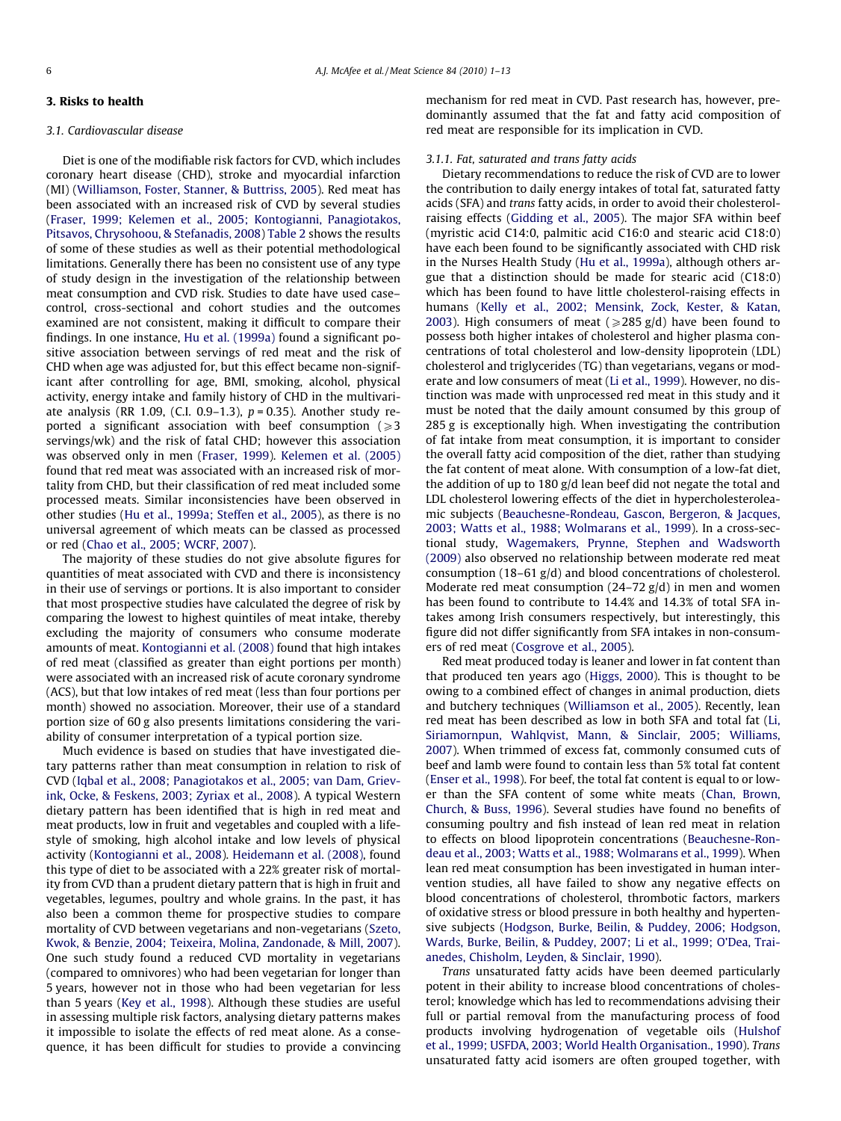## 3. Risks to health

#### 3.1. Cardiovascular disease

Diet is one of the modifiable risk factors for CVD, which includes coronary heart disease (CHD), stroke and myocardial infarction (MI) ([Williamson, Foster, Stanner, & Buttriss, 2005\)](#page-12-0). Red meat has been associated with an increased risk of CVD by several studies ([Fraser, 1999; Kelemen et al., 2005; Kontogianni, Panagiotakos,](#page-10-0) [Pitsavos, Chrysohoou, & Stefanadis, 2008\)](#page-10-0) [Table 2](#page-2-0) shows the results of some of these studies as well as their potential methodological limitations. Generally there has been no consistent use of any type of study design in the investigation of the relationship between meat consumption and CVD risk. Studies to date have used case– control, cross-sectional and cohort studies and the outcomes examined are not consistent, making it difficult to compare their findings. In one instance, [Hu et al. \(1999a\)](#page-11-0) found a significant positive association between servings of red meat and the risk of CHD when age was adjusted for, but this effect became non-significant after controlling for age, BMI, smoking, alcohol, physical activity, energy intake and family history of CHD in the multivariate analysis (RR 1.09, (C.I. 0.9-1.3),  $p = 0.35$ ). Another study reported a significant association with beef consumption  $\geq 3$ servings/wk) and the risk of fatal CHD; however this association was observed only in men [\(Fraser, 1999\)](#page-10-0). [Kelemen et al. \(2005\)](#page-11-0) found that red meat was associated with an increased risk of mortality from CHD, but their classification of red meat included some processed meats. Similar inconsistencies have been observed in other studies [\(Hu et al., 1999a; Steffen et al., 2005\)](#page-11-0), as there is no universal agreement of which meats can be classed as processed or red [\(Chao et al., 2005; WCRF, 2007](#page-10-0)).

The majority of these studies do not give absolute figures for quantities of meat associated with CVD and there is inconsistency in their use of servings or portions. It is also important to consider that most prospective studies have calculated the degree of risk by comparing the lowest to highest quintiles of meat intake, thereby excluding the majority of consumers who consume moderate amounts of meat. [Kontogianni et al. \(2008\)](#page-11-0) found that high intakes of red meat (classified as greater than eight portions per month) were associated with an increased risk of acute coronary syndrome (ACS), but that low intakes of red meat (less than four portions per month) showed no association. Moreover, their use of a standard portion size of 60 g also presents limitations considering the variability of consumer interpretation of a typical portion size.

Much evidence is based on studies that have investigated dietary patterns rather than meat consumption in relation to risk of CVD [\(Iqbal et al., 2008; Panagiotakos et al., 2005; van Dam, Griev](#page-11-0)[ink, Ocke, & Feskens, 2003; Zyriax et al., 2008\)](#page-11-0). A typical Western dietary pattern has been identified that is high in red meat and meat products, low in fruit and vegetables and coupled with a lifestyle of smoking, high alcohol intake and low levels of physical activity ([Kontogianni et al., 2008](#page-11-0)). [Heidemann et al. \(2008\)](#page-10-0), found this type of diet to be associated with a 22% greater risk of mortality from CVD than a prudent dietary pattern that is high in fruit and vegetables, legumes, poultry and whole grains. In the past, it has also been a common theme for prospective studies to compare mortality of CVD between vegetarians and non-vegetarians ([Szeto,](#page-12-0) [Kwok, & Benzie, 2004; Teixeira, Molina, Zandonade, & Mill, 2007\)](#page-12-0). One such study found a reduced CVD mortality in vegetarians (compared to omnivores) who had been vegetarian for longer than 5 years, however not in those who had been vegetarian for less than 5 years [\(Key et al., 1998](#page-11-0)). Although these studies are useful in assessing multiple risk factors, analysing dietary patterns makes it impossible to isolate the effects of red meat alone. As a consequence, it has been difficult for studies to provide a convincing mechanism for red meat in CVD. Past research has, however, predominantly assumed that the fat and fatty acid composition of red meat are responsible for its implication in CVD.

#### 3.1.1. Fat, saturated and trans fatty acids

Dietary recommendations to reduce the risk of CVD are to lower the contribution to daily energy intakes of total fat, saturated fatty acids (SFA) and trans fatty acids, in order to avoid their cholesterolraising effects [\(Gidding et al., 2005](#page-10-0)). The major SFA within beef (myristic acid C14:0, palmitic acid C16:0 and stearic acid C18:0) have each been found to be significantly associated with CHD risk in the Nurses Health Study ([Hu et al., 1999a](#page-11-0)), although others argue that a distinction should be made for stearic acid (C18:0) which has been found to have little cholesterol-raising effects in humans ([Kelly et al., 2002; Mensink, Zock, Kester, & Katan,](#page-11-0) [2003\)](#page-11-0). High consumers of meat ( $\geq$ 285 g/d) have been found to possess both higher intakes of cholesterol and higher plasma concentrations of total cholesterol and low-density lipoprotein (LDL) cholesterol and triglycerides (TG) than vegetarians, vegans or moderate and low consumers of meat ([Li et al., 1999\)](#page-11-0). However, no distinction was made with unprocessed red meat in this study and it must be noted that the daily amount consumed by this group of 285 g is exceptionally high. When investigating the contribution of fat intake from meat consumption, it is important to consider the overall fatty acid composition of the diet, rather than studying the fat content of meat alone. With consumption of a low-fat diet, the addition of up to 180 g/d lean beef did not negate the total and LDL cholesterol lowering effects of the diet in hypercholesteroleamic subjects [\(Beauchesne-Rondeau, Gascon, Bergeron, & Jacques,](#page-10-0) [2003; Watts et al., 1988; Wolmarans et al., 1999\)](#page-10-0). In a cross-sectional study, [Wagemakers, Prynne, Stephen and Wadsworth](#page-12-0) [\(2009\)](#page-12-0) also observed no relationship between moderate red meat consumption (18–61 g/d) and blood concentrations of cholesterol. Moderate red meat consumption  $(24-72 g/d)$  in men and women has been found to contribute to 14.4% and 14.3% of total SFA intakes among Irish consumers respectively, but interestingly, this figure did not differ significantly from SFA intakes in non-consumers of red meat [\(Cosgrove et al., 2005](#page-10-0)).

Red meat produced today is leaner and lower in fat content than that produced ten years ago ([Higgs, 2000\)](#page-11-0). This is thought to be owing to a combined effect of changes in animal production, diets and butchery techniques ([Williamson et al., 2005\)](#page-12-0). Recently, lean red meat has been described as low in both SFA and total fat [\(Li,](#page-11-0) [Siriamornpun, Wahlqvist, Mann, & Sinclair, 2005; Williams,](#page-11-0) [2007\)](#page-11-0). When trimmed of excess fat, commonly consumed cuts of beef and lamb were found to contain less than 5% total fat content ([Enser et al., 1998](#page-10-0)). For beef, the total fat content is equal to or lower than the SFA content of some white meats [\(Chan, Brown,](#page-10-0) [Church, & Buss, 1996](#page-10-0)). Several studies have found no benefits of consuming poultry and fish instead of lean red meat in relation to effects on blood lipoprotein concentrations [\(Beauchesne-Ron](#page-10-0)[deau et al., 2003; Watts et al., 1988; Wolmarans et al., 1999](#page-10-0)). When lean red meat consumption has been investigated in human intervention studies, all have failed to show any negative effects on blood concentrations of cholesterol, thrombotic factors, markers of oxidative stress or blood pressure in both healthy and hypertensive subjects [\(Hodgson, Burke, Beilin, & Puddey, 2006; Hodgson,](#page-11-0) [Wards, Burke, Beilin, & Puddey, 2007; Li et al., 1999; O'Dea, Trai](#page-11-0)[anedes, Chisholm, Leyden, & Sinclair, 1990\)](#page-11-0).

Trans unsaturated fatty acids have been deemed particularly potent in their ability to increase blood concentrations of cholesterol; knowledge which has led to recommendations advising their full or partial removal from the manufacturing process of food products involving hydrogenation of vegetable oils [\(Hulshof](#page-11-0) [et al., 1999; USFDA, 2003; World Health Organisation., 1990](#page-11-0)). Trans unsaturated fatty acid isomers are often grouped together, with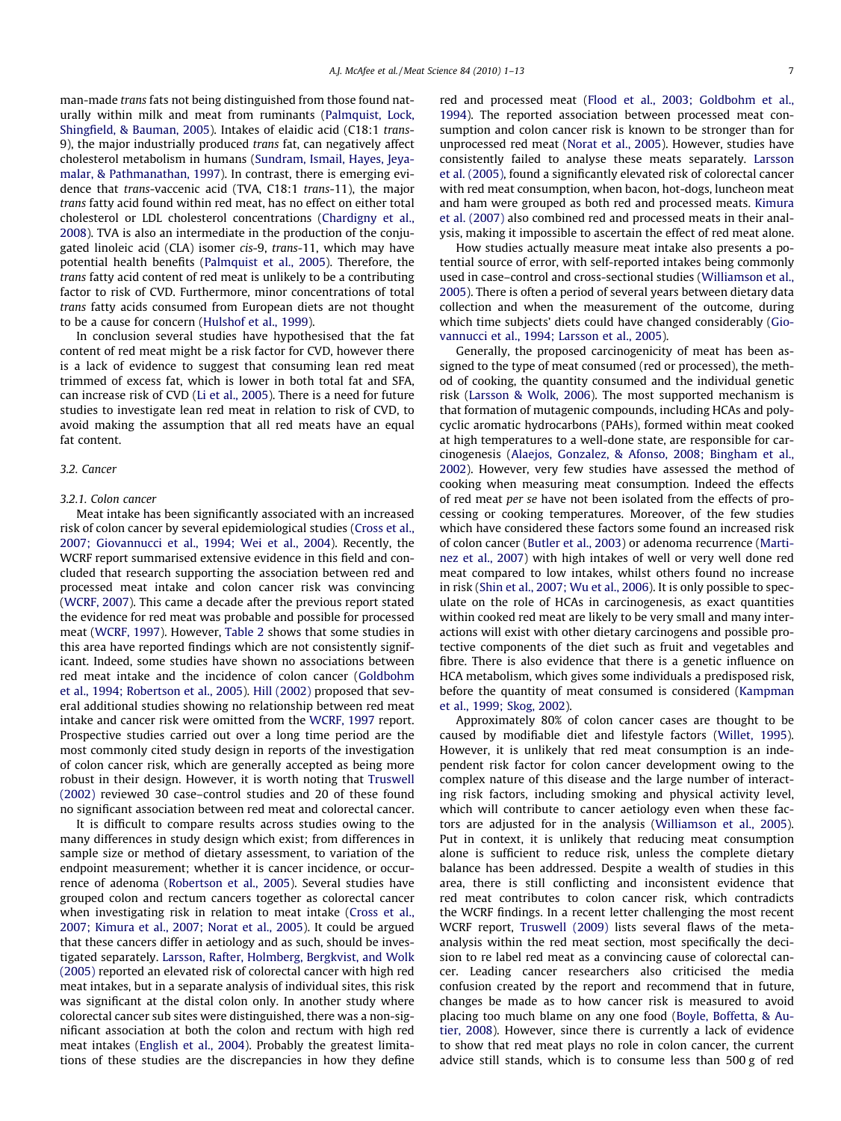man-made trans fats not being distinguished from those found naturally within milk and meat from ruminants ([Palmquist, Lock,](#page-11-0) [Shingfield, & Bauman, 2005\)](#page-11-0). Intakes of elaidic acid (C18:1 trans-9), the major industrially produced trans fat, can negatively affect cholesterol metabolism in humans ([Sundram, Ismail, Hayes, Jeya](#page-12-0)[malar, & Pathmanathan, 1997](#page-12-0)). In contrast, there is emerging evidence that trans-vaccenic acid (TVA, C18:1 trans-11), the major trans fatty acid found within red meat, has no effect on either total cholesterol or LDL cholesterol concentrations [\(Chardigny et al.,](#page-10-0) [2008](#page-10-0)). TVA is also an intermediate in the production of the conjugated linoleic acid (CLA) isomer cis-9, trans-11, which may have potential health benefits ([Palmquist et al., 2005\)](#page-11-0). Therefore, the trans fatty acid content of red meat is unlikely to be a contributing factor to risk of CVD. Furthermore, minor concentrations of total trans fatty acids consumed from European diets are not thought to be a cause for concern ([Hulshof et al., 1999](#page-11-0)).

In conclusion several studies have hypothesised that the fat content of red meat might be a risk factor for CVD, however there is a lack of evidence to suggest that consuming lean red meat trimmed of excess fat, which is lower in both total fat and SFA, can increase risk of CVD [\(Li et al., 2005](#page-11-0)). There is a need for future studies to investigate lean red meat in relation to risk of CVD, to avoid making the assumption that all red meats have an equal fat content.

## 3.2. Cancer

## 3.2.1. Colon cancer

Meat intake has been significantly associated with an increased risk of colon cancer by several epidemiological studies [\(Cross et al.,](#page-10-0) [2007; Giovannucci et al., 1994; Wei et al., 2004](#page-10-0)). Recently, the WCRF report summarised extensive evidence in this field and concluded that research supporting the association between red and processed meat intake and colon cancer risk was convincing ([WCRF, 2007](#page-12-0)). This came a decade after the previous report stated the evidence for red meat was probable and possible for processed meat [\(WCRF, 1997](#page-12-0)). However, [Table 2](#page-2-0) shows that some studies in this area have reported findings which are not consistently significant. Indeed, some studies have shown no associations between red meat intake and the incidence of colon cancer [\(Goldbohm](#page-10-0) [et al., 1994; Robertson et al., 2005](#page-10-0)). [Hill \(2002\)](#page-11-0) proposed that several additional studies showing no relationship between red meat intake and cancer risk were omitted from the [WCRF, 1997](#page-12-0) report. Prospective studies carried out over a long time period are the most commonly cited study design in reports of the investigation of colon cancer risk, which are generally accepted as being more robust in their design. However, it is worth noting that [Truswell](#page-12-0) [\(2002\)](#page-12-0) reviewed 30 case–control studies and 20 of these found no significant association between red meat and colorectal cancer.

It is difficult to compare results across studies owing to the many differences in study design which exist; from differences in sample size or method of dietary assessment, to variation of the endpoint measurement; whether it is cancer incidence, or occurrence of adenoma [\(Robertson et al., 2005\)](#page-11-0). Several studies have grouped colon and rectum cancers together as colorectal cancer when investigating risk in relation to meat intake ([Cross et al.,](#page-10-0) [2007; Kimura et al., 2007; Norat et al., 2005\)](#page-10-0). It could be argued that these cancers differ in aetiology and as such, should be investigated separately. [Larsson, Rafter, Holmberg, Bergkvist, and Wolk](#page-11-0) [\(2005\)](#page-11-0) reported an elevated risk of colorectal cancer with high red meat intakes, but in a separate analysis of individual sites, this risk was significant at the distal colon only. In another study where colorectal cancer sub sites were distinguished, there was a non-significant association at both the colon and rectum with high red meat intakes ([English et al., 2004](#page-10-0)). Probably the greatest limitations of these studies are the discrepancies in how they define red and processed meat [\(Flood et al., 2003; Goldbohm et al.,](#page-10-0) [1994\)](#page-10-0). The reported association between processed meat consumption and colon cancer risk is known to be stronger than for unprocessed red meat ([Norat et al., 2005\)](#page-11-0). However, studies have consistently failed to analyse these meats separately. [Larsson](#page-11-0) [et al. \(2005\),](#page-11-0) found a significantly elevated risk of colorectal cancer with red meat consumption, when bacon, hot-dogs, luncheon meat and ham were grouped as both red and processed meats. [Kimura](#page-11-0) [et al. \(2007\)](#page-11-0) also combined red and processed meats in their analysis, making it impossible to ascertain the effect of red meat alone.

How studies actually measure meat intake also presents a potential source of error, with self-reported intakes being commonly used in case–control and cross-sectional studies [\(Williamson et al.,](#page-12-0) [2005](#page-12-0)). There is often a period of several years between dietary data collection and when the measurement of the outcome, during which time subjects' diets could have changed considerably [\(Gio](#page-10-0)[vannucci et al., 1994; Larsson et al., 2005\)](#page-10-0).

Generally, the proposed carcinogenicity of meat has been assigned to the type of meat consumed (red or processed), the method of cooking, the quantity consumed and the individual genetic risk [\(Larsson & Wolk, 2006](#page-11-0)). The most supported mechanism is that formation of mutagenic compounds, including HCAs and polycyclic aromatic hydrocarbons (PAHs), formed within meat cooked at high temperatures to a well-done state, are responsible for carcinogenesis [\(Alaejos, Gonzalez, & Afonso, 2008; Bingham et al.,](#page-10-0) [2002](#page-10-0)). However, very few studies have assessed the method of cooking when measuring meat consumption. Indeed the effects of red meat per se have not been isolated from the effects of processing or cooking temperatures. Moreover, of the few studies which have considered these factors some found an increased risk of colon cancer ([Butler et al., 2003](#page-10-0)) or adenoma recurrence [\(Marti](#page-11-0)[nez et al., 2007](#page-11-0)) with high intakes of well or very well done red meat compared to low intakes, whilst others found no increase in risk ([Shin et al., 2007; Wu et al., 2006\)](#page-12-0). It is only possible to speculate on the role of HCAs in carcinogenesis, as exact quantities within cooked red meat are likely to be very small and many interactions will exist with other dietary carcinogens and possible protective components of the diet such as fruit and vegetables and fibre. There is also evidence that there is a genetic influence on HCA metabolism, which gives some individuals a predisposed risk, before the quantity of meat consumed is considered ([Kampman](#page-11-0) [et al., 1999; Skog, 2002](#page-11-0)).

Approximately 80% of colon cancer cases are thought to be caused by modifiable diet and lifestyle factors ([Willet, 1995\)](#page-12-0). However, it is unlikely that red meat consumption is an independent risk factor for colon cancer development owing to the complex nature of this disease and the large number of interacting risk factors, including smoking and physical activity level, which will contribute to cancer aetiology even when these factors are adjusted for in the analysis [\(Williamson et al., 2005\)](#page-12-0). Put in context, it is unlikely that reducing meat consumption alone is sufficient to reduce risk, unless the complete dietary balance has been addressed. Despite a wealth of studies in this area, there is still conflicting and inconsistent evidence that red meat contributes to colon cancer risk, which contradicts the WCRF findings. In a recent letter challenging the most recent WCRF report, [Truswell \(2009\)](#page-12-0) lists several flaws of the metaanalysis within the red meat section, most specifically the decision to re label red meat as a convincing cause of colorectal cancer. Leading cancer researchers also criticised the media confusion created by the report and recommend that in future, changes be made as to how cancer risk is measured to avoid placing too much blame on any one food [\(Boyle, Boffetta, & Au](#page-10-0)[tier, 2008\)](#page-10-0). However, since there is currently a lack of evidence to show that red meat plays no role in colon cancer, the current advice still stands, which is to consume less than 500 g of red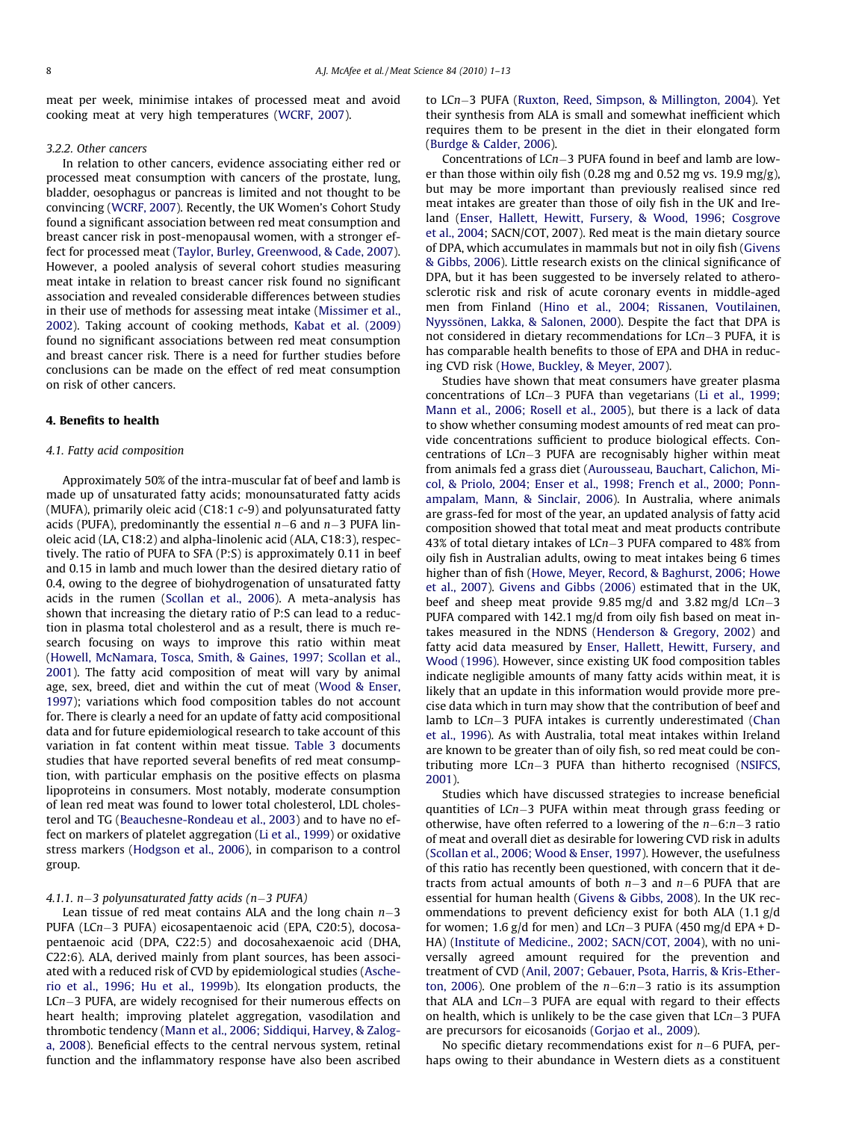meat per week, minimise intakes of processed meat and avoid cooking meat at very high temperatures [\(WCRF, 2007](#page-12-0)).

#### 3.2.2. Other cancers

In relation to other cancers, evidence associating either red or processed meat consumption with cancers of the prostate, lung, bladder, oesophagus or pancreas is limited and not thought to be convincing [\(WCRF, 2007\)](#page-12-0). Recently, the UK Women's Cohort Study found a significant association between red meat consumption and breast cancer risk in post-menopausal women, with a stronger effect for processed meat ([Taylor, Burley, Greenwood, & Cade, 2007\)](#page-12-0). However, a pooled analysis of several cohort studies measuring meat intake in relation to breast cancer risk found no significant association and revealed considerable differences between studies in their use of methods for assessing meat intake ([Missimer et al.,](#page-11-0) [2002\)](#page-11-0). Taking account of cooking methods, [Kabat et al. \(2009\)](#page-11-0) found no significant associations between red meat consumption and breast cancer risk. There is a need for further studies before conclusions can be made on the effect of red meat consumption on risk of other cancers.

## 4. Benefits to health

## 4.1. Fatty acid composition

Approximately 50% of the intra-muscular fat of beef and lamb is made up of unsaturated fatty acids; monounsaturated fatty acids (MUFA), primarily oleic acid (C18:1 c-9) and polyunsaturated fatty acids (PUFA), predominantly the essential  $n-6$  and  $n-3$  PUFA linoleic acid (LA, C18:2) and alpha-linolenic acid (ALA, C18:3), respectively. The ratio of PUFA to SFA (P:S) is approximately 0.11 in beef and 0.15 in lamb and much lower than the desired dietary ratio of 0.4, owing to the degree of biohydrogenation of unsaturated fatty acids in the rumen [\(Scollan et al., 2006\)](#page-12-0). A meta-analysis has shown that increasing the dietary ratio of P:S can lead to a reduction in plasma total cholesterol and as a result, there is much research focusing on ways to improve this ratio within meat ([Howell, McNamara, Tosca, Smith, & Gaines, 1997; Scollan et al.,](#page-11-0) [2001\)](#page-11-0). The fatty acid composition of meat will vary by animal age, sex, breed, diet and within the cut of meat [\(Wood & Enser,](#page-12-0) [1997\)](#page-12-0); variations which food composition tables do not account for. There is clearly a need for an update of fatty acid compositional data and for future epidemiological research to take account of this variation in fat content within meat tissue. [Table 3](#page-8-0) documents studies that have reported several benefits of red meat consumption, with particular emphasis on the positive effects on plasma lipoproteins in consumers. Most notably, moderate consumption of lean red meat was found to lower total cholesterol, LDL cholesterol and TG [\(Beauchesne-Rondeau et al., 2003](#page-10-0)) and to have no effect on markers of platelet aggregation ([Li et al., 1999\)](#page-11-0) or oxidative stress markers [\(Hodgson et al., 2006](#page-11-0)), in comparison to a control group.

#### 4.1.1. n-3 polyunsaturated fatty acids (n-3 PUFA)

Lean tissue of red meat contains ALA and the long chain  $n-3$ PUFA (LCn-3 PUFA) eicosapentaenoic acid (EPA, C20:5), docosapentaenoic acid (DPA, C22:5) and docosahexaenoic acid (DHA, C22:6). ALA, derived mainly from plant sources, has been associated with a reduced risk of CVD by epidemiological studies [\(Asche](#page-10-0)[rio et al., 1996; Hu et al., 1999b](#page-10-0)). Its elongation products, the LCn-3 PUFA, are widely recognised for their numerous effects on heart health; improving platelet aggregation, vasodilation and thrombotic tendency ([Mann et al., 2006; Siddiqui, Harvey, & Zalog](#page-11-0)[a, 2008](#page-11-0)). Beneficial effects to the central nervous system, retinal function and the inflammatory response have also been ascribed to LCn-3 PUFA ([Ruxton, Reed, Simpson, & Millington, 2004](#page-12-0)). Yet their synthesis from ALA is small and somewhat inefficient which requires them to be present in the diet in their elongated form ([Burdge & Calder, 2006\)](#page-10-0).

Concentrations of LCn-3 PUFA found in beef and lamb are lower than those within oily fish (0.28 mg and 0.52 mg vs. 19.9 mg/g), but may be more important than previously realised since red meat intakes are greater than those of oily fish in the UK and Ireland ([Enser, Hallett, Hewitt, Fursery, & Wood, 1996](#page-10-0); [Cosgrove](#page-10-0) [et al., 2004;](#page-10-0) SACN/COT, 2007). Red meat is the main dietary source of DPA, which accumulates in mammals but not in oily fish [\(Givens](#page-10-0) [& Gibbs, 2006\)](#page-10-0). Little research exists on the clinical significance of DPA, but it has been suggested to be inversely related to atherosclerotic risk and risk of acute coronary events in middle-aged men from Finland [\(Hino et al., 2004; Rissanen, Voutilainen,](#page-11-0) [Nyyssönen, Lakka, & Salonen, 2000\)](#page-11-0). Despite the fact that DPA is not considered in dietary recommendations for LCn-3 PUFA, it is has comparable health benefits to those of EPA and DHA in reducing CVD risk ([Howe, Buckley, & Meyer, 2007](#page-11-0)).

Studies have shown that meat consumers have greater plasma concentrations of LCn-3 PUFA than vegetarians [\(Li et al., 1999;](#page-11-0) [Mann et al., 2006; Rosell et al., 2005](#page-11-0)), but there is a lack of data to show whether consuming modest amounts of red meat can provide concentrations sufficient to produce biological effects. Concentrations of LCn-3 PUFA are recognisably higher within meat from animals fed a grass diet ([Aurousseau, Bauchart, Calichon, Mi](#page-10-0)[col, & Priolo, 2004; Enser et al., 1998; French et al., 2000; Ponn](#page-10-0)[ampalam, Mann, & Sinclair, 2006](#page-10-0)). In Australia, where animals are grass-fed for most of the year, an updated analysis of fatty acid composition showed that total meat and meat products contribute 43% of total dietary intakes of LCn-3 PUFA compared to 48% from oily fish in Australian adults, owing to meat intakes being 6 times higher than of fish ([Howe, Meyer, Record, & Baghurst, 2006; Howe](#page-11-0) [et al., 2007](#page-11-0)). [Givens and Gibbs \(2006\)](#page-10-0) estimated that in the UK, beef and sheep meat provide  $9.85 \text{ mg/d}$  and  $3.82 \text{ mg/d}$  LCn $-3$ PUFA compared with 142.1 mg/d from oily fish based on meat intakes measured in the NDNS ([Henderson & Gregory, 2002\)](#page-11-0) and fatty acid data measured by [Enser, Hallett, Hewitt, Fursery, and](#page-10-0) [Wood \(1996\).](#page-10-0) However, since existing UK food composition tables indicate negligible amounts of many fatty acids within meat, it is likely that an update in this information would provide more precise data which in turn may show that the contribution of beef and lamb to LCn-3 PUFA intakes is currently underestimated ([Chan](#page-10-0) [et al., 1996](#page-10-0)). As with Australia, total meat intakes within Ireland are known to be greater than of oily fish, so red meat could be contributing more LCn-3 PUFA than hitherto recognised ([NSIFCS,](#page-11-0) [2001\)](#page-11-0).

Studies which have discussed strategies to increase beneficial quantities of LCn-3 PUFA within meat through grass feeding or otherwise, have often referred to a lowering of the  $n-6$ : $n-3$  ratio of meat and overall diet as desirable for lowering CVD risk in adults ([Scollan et al., 2006; Wood & Enser, 1997\)](#page-12-0). However, the usefulness of this ratio has recently been questioned, with concern that it detracts from actual amounts of both  $n-3$  and  $n-6$  PUFA that are essential for human health ([Givens & Gibbs, 2008](#page-10-0)). In the UK recommendations to prevent deficiency exist for both ALA (1.1 g/d for women; 1.6  $g/d$  for men) and LCn–3 PUFA (450 mg/d EPA + D-HA) [\(Institute of Medicine., 2002; SACN/COT, 2004](#page-11-0)), with no universally agreed amount required for the prevention and treatment of CVD ([Anil, 2007; Gebauer, Psota, Harris, & Kris-Ether](#page-10-0)[ton, 2006\)](#page-10-0). One problem of the  $n-6$ : $n-3$  ratio is its assumption that ALA and LCn-3 PUFA are equal with regard to their effects on health, which is unlikely to be the case given that  $Lcn-3$  PUFA are precursors for eicosanoids [\(Gorjao et al., 2009](#page-10-0)).

No specific dietary recommendations exist for  $n-6$  PUFA, perhaps owing to their abundance in Western diets as a constituent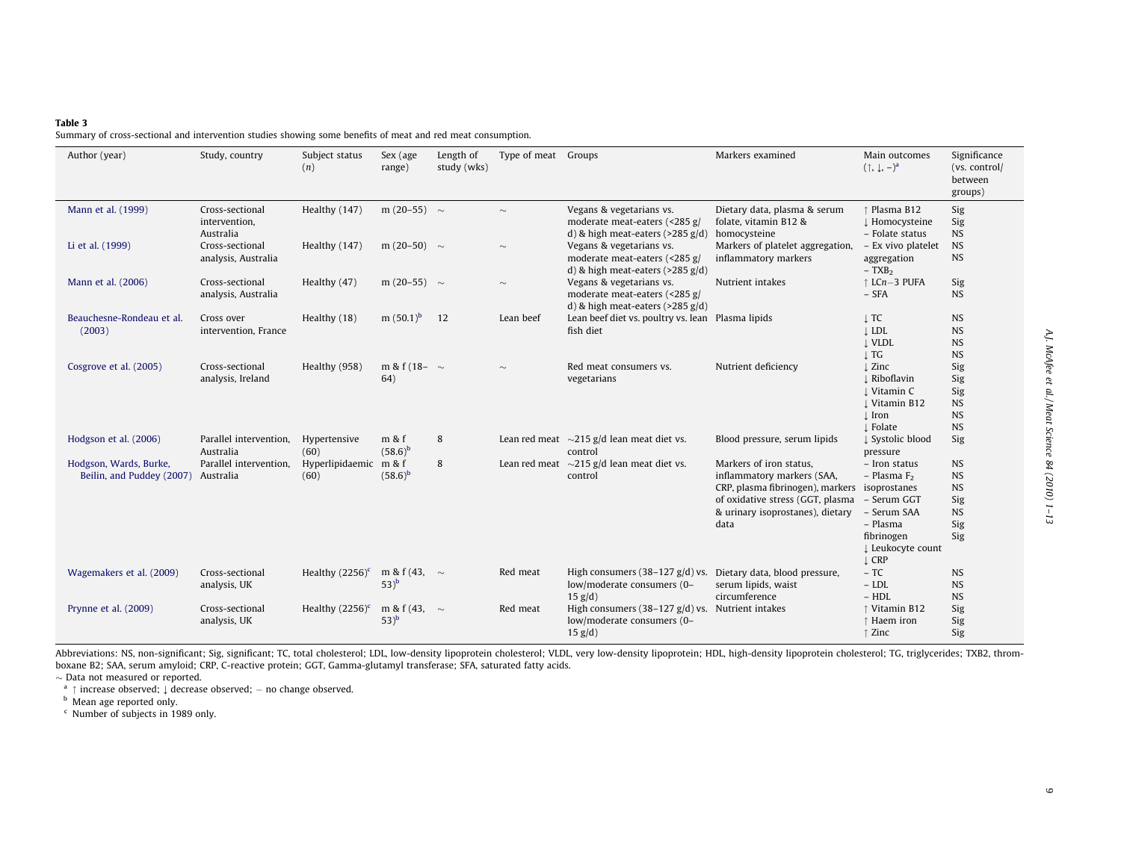#### <span id="page-8-0"></span>Table 3

Summary of cross-sectional and intervention studies showing some benefits of meat and red meat consumption.

| Author (year)                                                 | Study, country                                | Subject status<br>(n)         | Sex (age<br>range)            | Length of<br>study (wks) | Type of meat Groups |                                                                                                                      | Markers examined                                                                                                                                                          | Main outcomes<br>$(\uparrow, \downarrow, -)^a$                                                                                         | Significance<br>(vs. control/<br>between<br>groups)                   |
|---------------------------------------------------------------|-----------------------------------------------|-------------------------------|-------------------------------|--------------------------|---------------------|----------------------------------------------------------------------------------------------------------------------|---------------------------------------------------------------------------------------------------------------------------------------------------------------------------|----------------------------------------------------------------------------------------------------------------------------------------|-----------------------------------------------------------------------|
| Mann et al. (1999)                                            | Cross-sectional<br>intervention,<br>Australia | Healthy (147)                 | m (20-55) $\sim$              |                          | $\sim$              | Vegans & vegetarians vs.<br>moderate meat-eaters (<285 g/<br>d) & high meat-eaters $(>285 \text{ g/d})$ homocysteine | Dietary data, plasma & serum<br>folate, vitamin B12 &                                                                                                                     | ↑ Plasma B12<br>↓ Homocysteine<br>- Folate status                                                                                      | Sig<br>Sig<br><b>NS</b>                                               |
| Li et al. (1999)                                              | Cross-sectional<br>analysis, Australia        | Healthy (147)                 | m (20-50) $\sim$              |                          | $\sim$              | Vegans & vegetarians vs.<br>moderate meat-eaters (<285 g/<br>d) & high meat-eaters $($ >285 g/d)                     | Markers of platelet aggregation,<br>inflammatory markers                                                                                                                  | - Ex vivo platelet<br>aggregation<br>$-$ TXB <sub>2</sub>                                                                              | <b>NS</b><br><b>NS</b>                                                |
| Mann et al. (2006)                                            | Cross-sectional<br>analysis, Australia        | Healthy (47)                  | m (20-55) $\sim$              |                          | $\sim$              | Vegans & vegetarians vs.<br>moderate meat-eaters (<285 g/<br>d) & high meat-eaters $($ >285 g/d)                     | Nutrient intakes                                                                                                                                                          | ↑ LCn-3 PUFA<br>$-$ SFA                                                                                                                | Sig<br><b>NS</b>                                                      |
| Beauchesne-Rondeau et al.<br>(2003)                           | Cross over<br>intervention, France            | Healthy (18)                  | m $(50.1)^b$                  | 12                       | Lean beef           | Lean beef diet vs. poultry vs. lean Plasma lipids<br>fish diet                                                       |                                                                                                                                                                           | $\perp$ TC<br>$\perp$ LDL<br><b>J</b> VLDL<br>$\downarrow$ TG                                                                          | <b>NS</b><br><b>NS</b><br><b>NS</b><br><b>NS</b>                      |
| Cosgrove et al. (2005)                                        | Cross-sectional<br>analysis, Ireland          | Healthy (958)                 | m & f (18- $\sim$<br>64)      |                          | $\sim$              | Red meat consumers vs.<br>vegetarians                                                                                | Nutrient deficiency                                                                                                                                                       | $\perp$ Zinc<br>⊥ Riboflavin<br>⊥ Vitamin C<br>⊥ Vitamin B12<br>$\perp$ Iron<br>⊥ Folate                                               | Sig<br>Sig<br>Sig<br><b>NS</b><br><b>NS</b><br><b>NS</b>              |
| Hodgson et al. (2006)                                         | Parallel intervention,<br>Australia           | Hypertensive<br>(60)          | m & f<br>$(58.6)^b$           | 8                        |                     | Lean red meat $\sim$ 215 g/d lean meat diet vs.<br>control                                                           | Blood pressure, serum lipids                                                                                                                                              | ↓ Systolic blood<br>pressure                                                                                                           | Sig                                                                   |
| Hodgson, Wards, Burke,<br>Beilin, and Puddey (2007) Australia | Parallel intervention,                        | Hyperlipidaemic m & f<br>(60) | $(58.6)^b$                    | 8                        |                     | Lean red meat $\sim$ 215 g/d lean meat diet vs.<br>control                                                           | Markers of iron status,<br>inflammatory markers (SAA,<br>CRP, plasma fibrinogen), markers<br>of oxidative stress (GGT, plasma<br>& urinary isoprostanes), dietary<br>data | - Iron status<br>$-$ Plasma $F2$<br>isoprostanes<br>- Serum GGT<br>- Serum SAA<br>- Plasma<br>fibrinogen<br>↓ Leukocyte count<br>↓ CRP | <b>NS</b><br><b>NS</b><br><b>NS</b><br>Sig<br><b>NS</b><br>Sig<br>Sig |
| Wagemakers et al. (2009)                                      | Cross-sectional<br>analysis, UK               | Healthy $(2256)^c$            | m & f (43, $\sim$<br>$(53)^b$ |                          | Red meat            | High consumers (38-127 $g/d$ ) vs. Dietary data, blood pressure,<br>low/moderate consumers (0-<br>$15$ g/d)          | serum lipids, waist<br>circumference                                                                                                                                      | $-TC$<br>$-LDL$<br>$- HDL$                                                                                                             | <b>NS</b><br><b>NS</b><br><b>NS</b>                                   |
| Prynne et al. (2009)                                          | Cross-sectional<br>analysis, UK               | Healthy $(2256)^c$            | m & f (43, $\sim$<br>$53)^b$  |                          | Red meat            | High consumers $(38-127 g/d)$ vs. Nutrient intakes<br>low/moderate consumers (0-<br>$15$ g/d)                        |                                                                                                                                                                           | ↑ Vitamin B12<br>↑ Haem iron<br>↑ Zinc                                                                                                 | Sig<br>Sig<br>Sig                                                     |

Abbreviations: NS, non-significant; Sig, significant; TC, total cholesterol; LDL, low-density lipoprotein cholesterol; VLDL, very low-density lipoprotein; HDL, high-density lipoprotein cholesterol; TG, triglycerides; TXB2, boxane B2; SAA, serum amyloid; CRP, C-reactive protein; GGT, Gamma-glutamyl transferase; SFA, saturated fatty acids.

 $\sim$  Data not measured or reported.<br> $^{\text{a}}$   $\uparrow$  increase observed;  $\downarrow$  decrease observed;  $-$  no change observed.

**b** Mean age reported only.

<sup>c</sup> Number of subjects in 1989 only.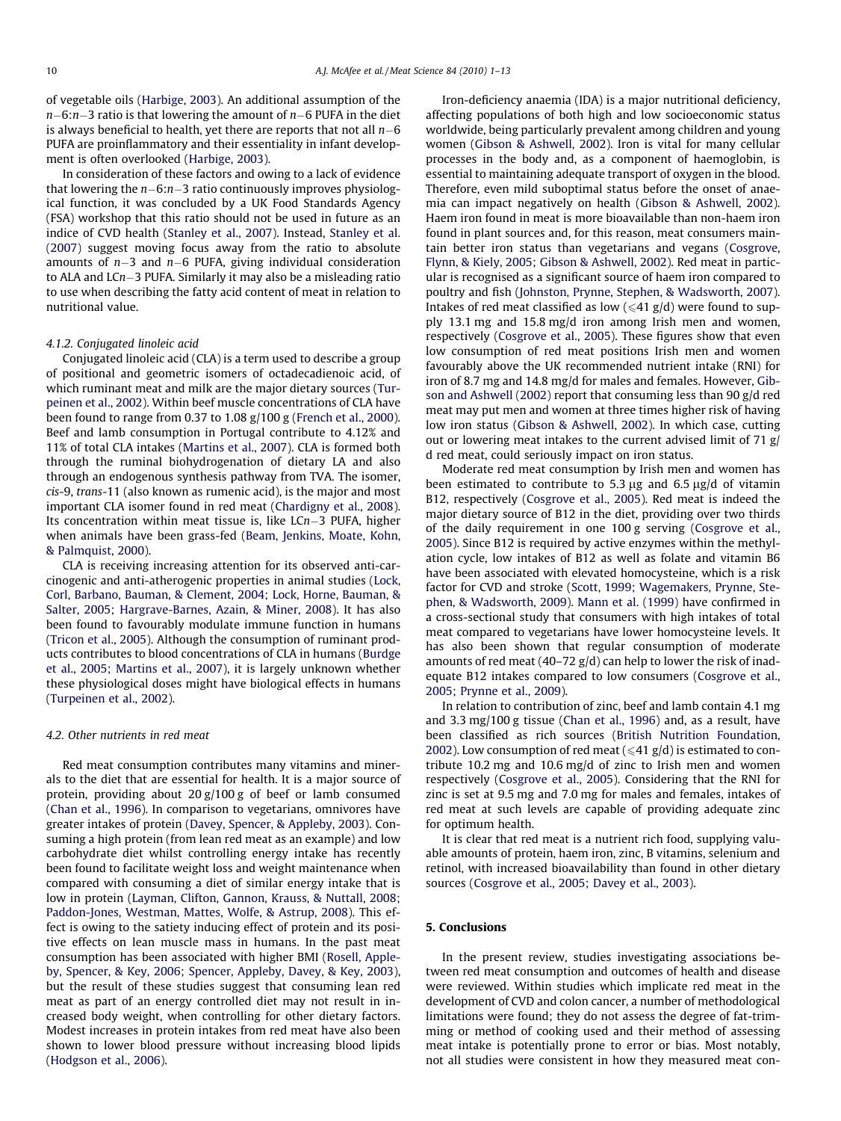of vegetable oils [\(Harbige, 2003](#page-10-0)). An additional assumption of the n-6:n-3 ratio is that lowering the amount of n-6 PUFA in the diet is always beneficial to health, yet there are reports that not all  $n\text{--}6$ PUFA are proinflammatory and their essentiality in infant development is often overlooked ([Harbige, 2003\)](#page-10-0).

In consideration of these factors and owing to a lack of evidence that lowering the n-6:n-3 ratio continuously improves physiological function, it was concluded by a UK Food Standards Agency (FSA) workshop that this ratio should not be used in future as an indice of CVD health ([Stanley et al., 2007\)](#page-12-0). Instead, [Stanley et al.](#page-12-0) [\(2007\)](#page-12-0) suggest moving focus away from the ratio to absolute amounts of n-3 and n-6 PUFA, giving individual consideration to ALA and LCn-3 PUFA. Similarly it may also be a misleading ratio to use when describing the fatty acid content of meat in relation to nutritional value.

#### 4.1.2. Conjugated linoleic acid

Conjugated linoleic acid (CLA) is a term used to describe a group of positional and geometric isomers of octadecadienoic acid, of which ruminant meat and milk are the major dietary sources ([Tur](#page-12-0)[peinen et al., 2002\)](#page-12-0). Within beef muscle concentrations of CLA have been found to range from 0.37 to 1.08  $g/100 g$  [\(French et al., 2000\)](#page-10-0). Beef and lamb consumption in Portugal contribute to 4.12% and 11% of total CLA intakes ([Martins et al., 2007](#page-11-0)). CLA is formed both through the ruminal biohydrogenation of dietary LA and also through an endogenous synthesis pathway from TVA. The isomer, cis-9, trans-11 (also known as rumenic acid), is the major and most important CLA isomer found in red meat ([Chardigny et al., 2008\)](#page-10-0). Its concentration within meat tissue is, like LCn-3 PUFA, higher when animals have been grass-fed [\(Beam, Jenkins, Moate, Kohn,](#page-10-0) [& Palmquist, 2000](#page-10-0)).

CLA is receiving increasing attention for its observed anti-carcinogenic and anti-atherogenic properties in animal studies ([Lock,](#page-11-0) [Corl, Barbano, Bauman, & Clement, 2004; Lock, Horne, Bauman, &](#page-11-0) [Salter, 2005; Hargrave-Barnes, Azain, & Miner, 2008](#page-11-0)). It has also been found to favourably modulate immune function in humans ([Tricon et al., 2005\)](#page-12-0). Although the consumption of ruminant products contributes to blood concentrations of CLA in humans [\(Burdge](#page-10-0) [et al., 2005; Martins et al., 2007\)](#page-10-0), it is largely unknown whether these physiological doses might have biological effects in humans ([Turpeinen et al., 2002](#page-12-0)).

#### 4.2. Other nutrients in red meat

Red meat consumption contributes many vitamins and minerals to the diet that are essential for health. It is a major source of protein, providing about 20 g/100 g of beef or lamb consumed (Chan et [al., 1996](#page-10-0)). In comparison to vegetarians, omnivores have greater intakes of protein [\(Davey, Spencer, & Appleby, 2003\)](#page-10-0). Consuming a high protein (from lean red meat as an example) and low carbohydrate diet whilst controlling energy intake has recently been found to facilitate weight loss and weight maintenance when compared with consuming a diet of similar energy intake that is low in protein ([Layman, Clifton, Gannon, Krauss, & Nuttall, 2008;](#page-11-0) [Paddon-Jones, Westman, Mattes, Wolfe, & Astrup, 2008\)](#page-11-0). This effect is owing to the satiety inducing effect of protein and its positive effects on lean muscle mass in humans. In the past meat consumption has been associated with higher BMI ([Rosell, Apple](#page-11-0)[by, Spencer, & Key, 2006; Spencer, Appleby, Davey, & Key, 2003\)](#page-11-0), but the result of these studies suggest that consuming lean red meat as part of an energy controlled diet may not result in increased body weight, when controlling for other dietary factors. Modest increases in protein intakes from red meat have also been shown to lower blood pressure without increasing blood lipids ([Hodgson et al., 2006\)](#page-11-0).

Iron-deficiency anaemia (IDA) is a major nutritional deficiency, affecting populations of both high and low socioeconomic status worldwide, being particularly prevalent among children and young women [\(Gibson & Ashwell, 2002](#page-10-0)). Iron is vital for many cellular processes in the body and, as a component of haemoglobin, is essential to maintaining adequate transport of oxygen in the blood. Therefore, even mild suboptimal status before the onset of anaemia can impact negatively on health ([Gibson & Ashwell, 2002\)](#page-10-0). Haem iron found in meat is more bioavailable than non-haem iron found in plant sources and, for this reason, meat consumers maintain better iron status than vegetarians and vegans ([Cosgrove,](#page-10-0) [Flynn, & Kiely, 2005; Gibson & Ashwell, 2002](#page-10-0)). Red meat in particular is recognised as a significant source of haem iron compared to poultry and fish [\(Johnston, Prynne, Stephen, & Wadsworth, 2007\)](#page-11-0). Intakes of red meat classified as low ( $\leq 41$  g/d) were found to supply 13.1 mg and 15.8 mg/d iron among Irish men and women, respectively [\(Cosgrove et al., 2005\)](#page-10-0). These figures show that even low consumption of red meat positions Irish men and women favourably above the UK recommended nutrient intake (RNI) for iron of 8.7 mg and 14.8 mg/d for males and females. However, [Gib](#page-10-0)[son and Ashwell \(2002\)](#page-10-0) report that consuming less than 90 g/d red meat may put men and women at three times higher risk of having low iron status ([Gibson & Ashwell, 2002](#page-10-0)). In which case, cutting out or lowering meat intakes to the current advised limit of 71 g/ d red meat, could seriously impact on iron status.

Moderate red meat consumption by Irish men and women has been estimated to contribute to 5.3  $\mu$ g and 6.5  $\mu$ g/d of vitamin B12, respectively [\(Cosgrove et al., 2005\)](#page-10-0). Red meat is indeed the major dietary source of B12 in the diet, providing over two thirds of the daily requirement in one 100 g serving [\(Cosgrove et al.,](#page-10-0) [2005\)](#page-10-0). Since B12 is required by active enzymes within the methylation cycle, low intakes of B12 as well as folate and vitamin B6 have been associated with elevated homocysteine, which is a risk factor for CVD and stroke ([Scott, 1999; Wagemakers, Prynne, Ste](#page-12-0)[phen, & Wadsworth, 2009\)](#page-12-0). [Mann et al. \(1999\)](#page-11-0) have confirmed in a cross-sectional study that consumers with high intakes of total meat compared to vegetarians have lower homocysteine levels. It has also been shown that regular consumption of moderate amounts of red meat (40–72 g/d) can help to lower the risk of inadequate B12 intakes compared to low consumers [\(Cosgrove et al.,](#page-10-0) [2005; Prynne et al., 2009](#page-10-0)).

In relation to contribution of zinc, beef and lamb contain 4.1 mg and 3.3 mg/100 g tissue [\(Chan et al., 1996\)](#page-10-0) and, as a result, have been classified as rich sources ([British Nutrition Foundation,](#page-10-0) [2002\)](#page-10-0). Low consumption of red meat ( $\leq 41$  g/d) is estimated to contribute 10.2 mg and 10.6 mg/d of zinc to Irish men and women respectively ([Cosgrove et al., 2005](#page-10-0)). Considering that the RNI for zinc is set at 9.5 mg and 7.0 mg for males and females, intakes of red meat at such levels are capable of providing adequate zinc for optimum health.

It is clear that red meat is a nutrient rich food, supplying valuable amounts of protein, haem iron, zinc, B vitamins, selenium and retinol, with increased bioavailability than found in other dietary sources ([Cosgrove et al., 2005; Davey et al., 2003](#page-10-0)).

#### 5. Conclusions

In the present review, studies investigating associations between red meat consumption and outcomes of health and disease were reviewed. Within studies which implicate red meat in the development of CVD and colon cancer, a number of methodological limitations were found; they do not assess the degree of fat-trimming or method of cooking used and their method of assessing meat intake is potentially prone to error or bias. Most notably, not all studies were consistent in how they measured meat con-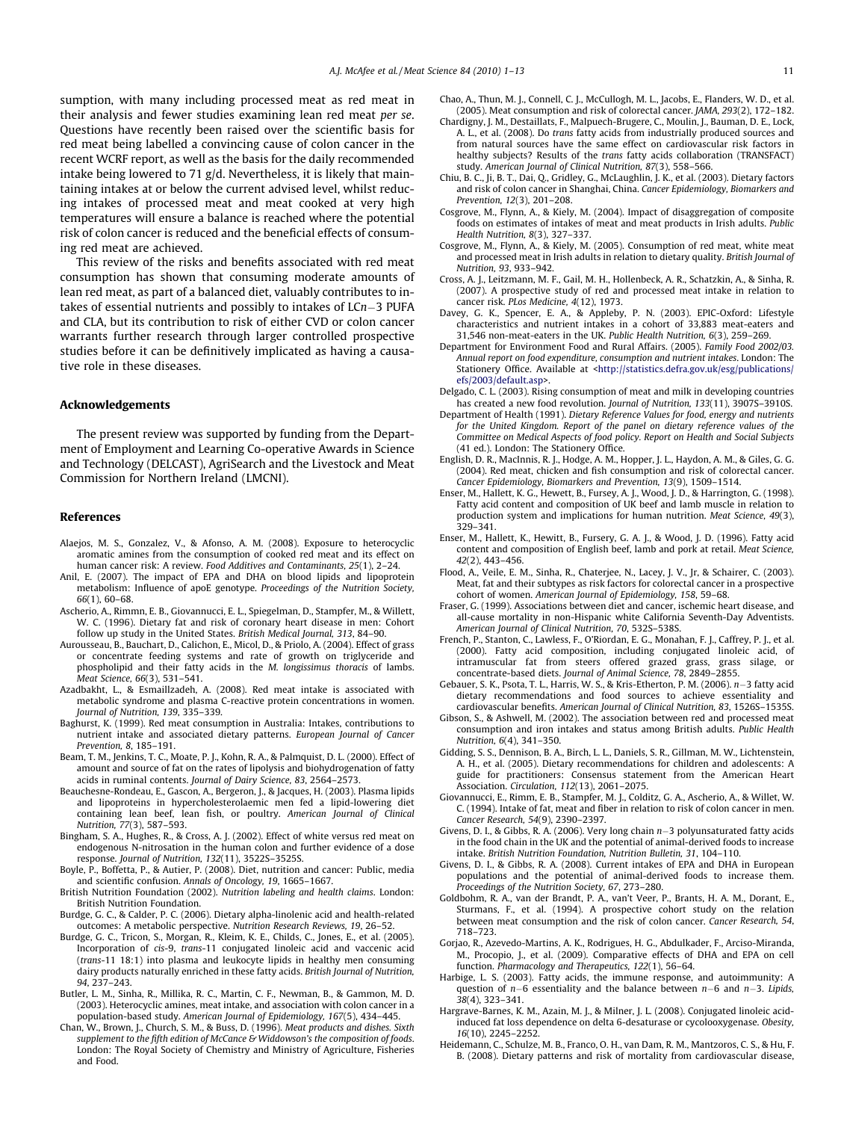<span id="page-10-0"></span>sumption, with many including processed meat as red meat in their analysis and fewer studies examining lean red meat per se. Questions have recently been raised over the scientific basis for red meat being labelled a convincing cause of colon cancer in the recent WCRF report, as well as the basis for the daily recommended intake being lowered to 71 g/d. Nevertheless, it is likely that maintaining intakes at or below the current advised level, whilst reducing intakes of processed meat and meat cooked at very high temperatures will ensure a balance is reached where the potential risk of colon cancer is reduced and the beneficial effects of consuming red meat are achieved.

This review of the risks and benefits associated with red meat consumption has shown that consuming moderate amounts of lean red meat, as part of a balanced diet, valuably contributes to intakes of essential nutrients and possibly to intakes of LCn-3 PUFA and CLA, but its contribution to risk of either CVD or colon cancer warrants further research through larger controlled prospective studies before it can be definitively implicated as having a causative role in these diseases.

## Acknowledgements

The present review was supported by funding from the Department of Employment and Learning Co-operative Awards in Science and Technology (DELCAST), AgriSearch and the Livestock and Meat Commission for Northern Ireland (LMCNI).

#### References

- Alaejos, M. S., Gonzalez, V., & Afonso, A. M. (2008). Exposure to heterocyclic aromatic amines from the consumption of cooked red meat and its effect on human cancer risk: A review. Food Additives and Contaminants, 25(1), 2–24.
- Anil, E. (2007). The impact of EPA and DHA on blood lipids and lipoprotein metabolism: Influence of apoE genotype. Proceedings of the Nutrition Society, 66(1), 60–68.
- Ascherio, A., Rimmn, E. B., Giovannucci, E. L., Spiegelman, D., Stampfer, M., & Willett, W. C. (1996). Dietary fat and risk of coronary heart disease in men: Cohort follow up study in the United States. British Medical Journal, 313, 84–90.
- Aurousseau, B., Bauchart, D., Calichon, E., Micol, D., & Priolo, A. (2004). Effect of grass or concentrate feeding systems and rate of growth on triglyceride and phospholipid and their fatty acids in the M. longissimus thoracis of lambs. Meat Science, 66(3), 531–541.
- Azadbakht, L., & Esmaillzadeh, A. (2008). Red meat intake is associated with metabolic syndrome and plasma C-reactive protein concentrations in women. Journal of Nutrition, 139, 335–339.
- Baghurst, K. (1999). Red meat consumption in Australia: Intakes, contributions to nutrient intake and associated dietary patterns. European Journal of Cancer Prevention, 8, 185–191.
- Beam, T. M., Jenkins, T. C., Moate, P. J., Kohn, R. A., & Palmquist, D. L. (2000). Effect of amount and source of fat on the rates of lipolysis and biohydrogenation of fatty acids in ruminal contents. Journal of Dairy Science, 83, 2564–2573.
- Beauchesne-Rondeau, E., Gascon, A., Bergeron, J., & Jacques, H. (2003). Plasma lipids and lipoproteins in hypercholesterolaemic men fed a lipid-lowering diet containing lean beef, lean fish, or poultry. American Journal of Clinical Nutrition, 77(3), 587–593.
- Bingham, S. A., Hughes, R., & Cross, A. J. (2002). Effect of white versus red meat on endogenous N-nitrosation in the human colon and further evidence of a dose response. Journal of Nutrition, 132(11), 3522S–3525S.
- Boyle, P., Boffetta, P., & Autier, P. (2008). Diet, nutrition and cancer: Public, media and scientific confusion. Annals of Oncology, 19, 1665–1667.
- British Nutrition Foundation (2002). Nutrition labeling and health claims. London: British Nutrition Foundation.
- Burdge, G. C., & Calder, P. C. (2006). Dietary alpha-linolenic acid and health-related outcomes: A metabolic perspective. Nutrition Research Reviews, 19, 26–52.
- Burdge, G. C., Tricon, S., Morgan, R., Kleim, K. E., Childs, C., Jones, E., et al. (2005). Incorporation of cis-9, trans-11 conjugated linoleic acid and vaccenic acid (trans-11 18:1) into plasma and leukocyte lipids in healthy men consuming dairy products naturally enriched in these fatty acids. British Journal of Nutrition, 94, 237–243.
- Butler, L. M., Sinha, R., Millika, R. C., Martin, C. F., Newman, B., & Gammon, M. D. (2003). Heterocyclic amines, meat intake, and association with colon cancer in a population-based study. American Journal of Epidemiology, 167(5), 434–445.
- Chan, W., Brown, J., Church, S. M., & Buss, D. (1996). Meat products and dishes. Sixth supplement to the fifth edition of McCance & Widdowson's the composition of foods. London: The Royal Society of Chemistry and Ministry of Agriculture, Fisheries and Food.
- Chao, A., Thun, M. J., Connell, C. J., McCullogh, M. L., Jacobs, E., Flanders, W. D., et al. (2005). Meat consumption and risk of colorectal cancer. JAMA, 293(2), 172–182.
- Chardigny, J. M., Destaillats, F., Malpuech-Brugere, C., Moulin, J., Bauman, D. E., Lock, A. L., et al. (2008). Do trans fatty acids from industrially produced sources and from natural sources have the same effect on cardiovascular risk factors in healthy subjects? Results of the trans fatty acids collaboration (TRANSFACT) study. American Journal of Clinical Nutrition, 87(3), 558–566.
- Chiu, B. C., Ji, B. T., Dai, Q., Gridley, G., McLaughlin, J. K., et al. (2003). Dietary factors and risk of colon cancer in Shanghai, China. Cancer Epidemiology, Biomarkers and Prevention, 12(3), 201–208.
- Cosgrove, M., Flynn, A., & Kiely, M. (2004). Impact of disaggregation of composite foods on estimates of intakes of meat and meat products in Irish adults. Public Health Nutrition, 8(3), 327–337.
- Cosgrove, M., Flynn, A., & Kiely, M. (2005). Consumption of red meat, white meat and processed meat in Irish adults in relation to dietary quality. British Journal of Nutrition, 93, 933–942.
- Cross, A. J., Leitzmann, M. F., Gail, M. H., Hollenbeck, A. R., Schatzkin, A., & Sinha, R. (2007). A prospective study of red and processed meat intake in relation to cancer risk. PLos Medicine, 4(12), 1973.
- Davey, G. K., Spencer, E. A., & Appleby, P. N. (2003). EPIC-Oxford: Lifestyle characteristics and nutrient intakes in a cohort of 33,883 meat-eaters and 31,546 non-meat-eaters in the UK. Public Health Nutrition, 6(3), 259–269.
- Department for Environment Food and Rural Affairs. (2005). Family Food 2002/03. Annual report on food expenditure, consumption and nutrient intakes. London: The Stationery Office. Available at <[http://statistics.defra.gov.uk/esg/publications/](http://statistics.defra.gov.uk/esg/publications/efs/2003/default.asp) [efs/2003/default.asp>](http://statistics.defra.gov.uk/esg/publications/efs/2003/default.asp).
- Delgado, C. L. (2003). Rising consumption of meat and milk in developing countries has created a new food revolution. Journal of Nutrition, 133(11), 3907S–3910S.
- Department of Health (1991). Dietary Reference Values for food, energy and nutrients for the United Kingdom. Report of the panel on dietary reference values of the Committee on Medical Aspects of food policy. Report on Health and Social Subjects (41 ed.). London: The Stationery Office.
- English, D. R., MacInnis, R. J., Hodge, A. M., Hopper, J. L., Haydon, A. M., & Giles, G. G. (2004). Red meat, chicken and fish consumption and risk of colorectal cancer. Cancer Epidemiology, Biomarkers and Prevention, 13(9), 1509–1514.
- Enser, M., Hallett, K. G., Hewett, B., Fursey, A. J., Wood, J. D., & Harrington, G. (1998). Fatty acid content and composition of UK beef and lamb muscle in relation to production system and implications for human nutrition. Meat Science, 49(3), 329–341.
- Enser, M., Hallett, K., Hewitt, B., Fursery, G. A. J., & Wood, J. D. (1996). Fatty acid content and composition of English beef, lamb and pork at retail. Meat Science, 42(2), 443–456.
- Flood, A., Veile, E. M., Sinha, R., Chaterjee, N., Lacey, J. V., Jr, & Schairer, C. (2003). Meat, fat and their subtypes as risk factors for colorectal cancer in a prospective cohort of women. American Journal of Epidemiology, 158, 59–68.
- Fraser, G. (1999). Associations between diet and cancer, ischemic heart disease, and all-cause mortality in non-Hispanic white California Seventh-Day Adventists. American Journal of Clinical Nutrition, 70, 532S–538S.
- French, P., Stanton, C., Lawless, F., O'Riordan, E. G., Monahan, F. J., Caffrey, P. J., et al. (2000). Fatty acid composition, including conjugated linoleic acid, of intramuscular fat from steers offered grazed grass, grass silage, or concentrate-based diets. Journal of Animal Science, 78, 2849–2855.
- Gebauer, S. K., Psota, T. L., Harris, W. S., & Kris-Etherton, P. M. (2006). n-3 fatty acid dietary recommendations and food sources to achieve essentiality and cardiovascular benefits. American Journal of Clinical Nutrition, 83, 1526S–1535S.
- Gibson, S., & Ashwell, M. (2002). The association between red and processed meat consumption and iron intakes and status among British adults. Public Health Nutrition, 6(4), 341–350.
- Gidding, S. S., Dennison, B. A., Birch, L. L., Daniels, S. R., Gillman, M. W., Lichtenstein, A. H., et al. (2005). Dietary recommendations for children and adolescents: A guide for practitioners: Consensus statement from the American Heart Association. Circulation, 112(13), 2061–2075.
- Giovannucci, E., Rimm, E. B., Stampfer, M. J., Colditz, G. A., Ascherio, A., & Willet, W. C. (1994). Intake of fat, meat and fiber in relation to risk of colon cancer in men. Cancer Research, 54(9), 2390–2397.
- Givens, D. I., & Gibbs, R. A. (2006). Very long chain n-3 polyunsaturated fatty acids in the food chain in the UK and the potential of animal-derived foods to increase intake. British Nutrition Foundation, Nutrition Bulletin, 31, 104–110.
- Givens, D. I., & Gibbs, R. A. (2008). Current intakes of EPA and DHA in European populations and the potential of animal-derived foods to increase them. Proceedings of the Nutrition Society, 67, 273–280.
- Goldbohm, R. A., van der Brandt, P. A., van't Veer, P., Brants, H. A. M., Dorant, E., Sturmans, F., et al. (1994). A prospective cohort study on the relation between meat consumption and the risk of colon cancer. Cancer Research, 54, 718–723.
- Gorjao, R., Azevedo-Martins, A. K., Rodrigues, H. G., Abdulkader, F., Arciso-Miranda, M., Procopio, J., et al. (2009). Comparative effects of DHA and EPA on cell function. Pharmacology and Therapeutics, 122(1), 56–64.
- Harbige, L. S. (2003). Fatty acids, the immune response, and autoimmunity: A question of  $n-6$  essentiality and the balance between  $n-6$  and  $n-3$ . Lipids, 38(4), 323–341.
- Hargrave-Barnes, K. M., Azain, M. J., & Milner, J. L. (2008). Conjugated linoleic acidinduced fat loss dependence on delta 6-desaturase or cycolooxygenase. Obesity, 16(10), 2245–2252.
- Heidemann, C., Schulze, M. B., Franco, O. H., van Dam, R. M., Mantzoros, C. S., & Hu, F. B. (2008). Dietary patterns and risk of mortality from cardiovascular disease,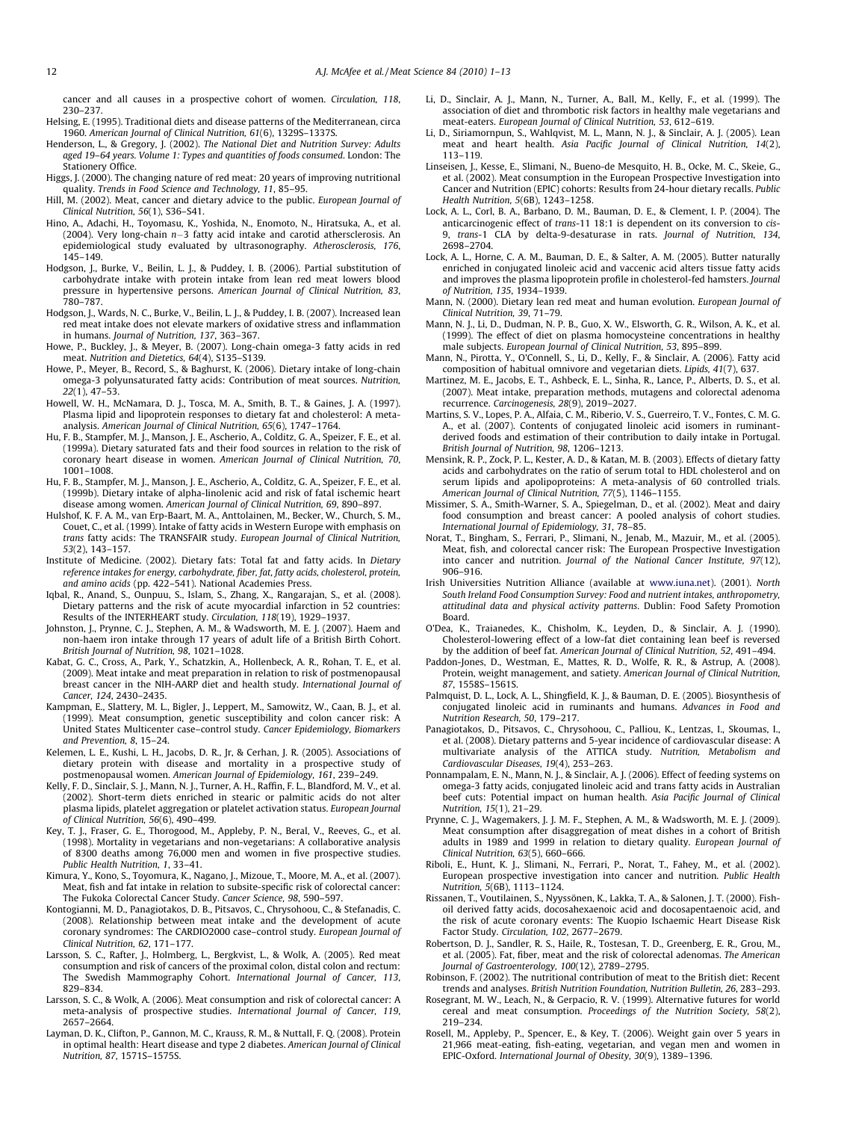<span id="page-11-0"></span>cancer and all causes in a prospective cohort of women. Circulation, 118, 230–237.

- Helsing, E. (1995). Traditional diets and disease patterns of the Mediterranean, circa 1960. American Journal of Clinical Nutrition, 61(6), 1329S–1337S.
- Henderson, L., & Gregory, J. (2002). The National Diet and Nutrition Survey: Adults aged 19–64 years. Volume 1: Types and quantities of foods consumed. London: The Stationery Office.
- Higgs, J. (2000). The changing nature of red meat: 20 years of improving nutritional quality. Trends in Food Science and Technology, 11, 85–95.
- Hill, M. (2002). Meat, cancer and dietary advice to the public. European Journal of Clinical Nutrition, 56(1), S36–S41.
- Hino, A., Adachi, H., Toyomasu, K., Yoshida, N., Enomoto, N., Hiratsuka, A., et al. (2004). Very long-chain n-3 fatty acid intake and carotid athersclerosis. An epidemiological study evaluated by ultrasonography. Atherosclerosis, 176, 145–149.
- Hodgson, J., Burke, V., Beilin, L. J., & Puddey, I. B. (2006). Partial substitution of carbohydrate intake with protein intake from lean red meat lowers blood pressure in hypertensive persons. American Journal of Clinical Nutrition, 83, 780–787.
- Hodgson, J., Wards, N. C., Burke, V., Beilin, L. J., & Puddey, I. B. (2007). Increased lean red meat intake does not elevate markers of oxidative stress and inflammation in humans. Journal of Nutrition, 137, 363–367.
- Howe, P., Buckley, J., & Meyer, B. (2007). Long-chain omega-3 fatty acids in red meat. Nutrition and Dietetics, 64(4), S135–S139.
- Howe, P., Meyer, B., Record, S., & Baghurst, K. (2006). Dietary intake of long-chain omega-3 polyunsaturated fatty acids: Contribution of meat sources. Nutrition,  $22(1)$ , 47–53.
- Howell, W. H., McNamara, D. J., Tosca, M. A., Smith, B. T., & Gaines, J. A. (1997). Plasma lipid and lipoprotein responses to dietary fat and cholesterol: A metaanalysis. American Journal of Clinical Nutrition, 65(6), 1747–1764.
- Hu, F. B., Stampfer, M. J., Manson, J. E., Ascherio, A., Colditz, G. A., Speizer, F. E., et al. (1999a). Dietary saturated fats and their food sources in relation to the risk of coronary heart disease in women. American Journal of Clinical Nutrition, 70, 1001–1008.
- Hu, F. B., Stampfer, M. J., Manson, J. E., Ascherio, A., Colditz, G. A., Speizer, F. E., et al. (1999b). Dietary intake of alpha-linolenic acid and risk of fatal ischemic heart disease among women. American Journal of Clinical Nutrition, 69, 890–897.
- Hulshof, K. F. A. M., van Erp-Baart, M. A., Anttolainen, M., Becker, W., Church, S. M., Couet, C., et al. (1999). Intake of fatty acids in Western Europe with emphasis on trans fatty acids: The TRANSFAIR study. European Journal of Clinical Nutrition, 53(2), 143–157.
- Institute of Medicine. (2002). Dietary fats: Total fat and fatty acids. In Dietary reference intakes for energy, carbohydrate, fiber, fat, fatty acids, cholesterol, protein, and amino acids (pp. 422–541). National Academies Press.
- Iqbal, R., Anand, S., Ounpuu, S., Islam, S., Zhang, X., Rangarajan, S., et al. (2008). Dietary patterns and the risk of acute myocardial infarction in 52 countries: Results of the INTERHEART study. Circulation, 118(19), 1929–1937.
- Johnston, J., Prynne, C. J., Stephen, A. M., & Wadsworth, M. E. J. (2007). Haem and non-haem iron intake through 17 years of adult life of a British Birth Cohort. British Journal of Nutrition, 98, 1021–1028.
- Kabat, G. C., Cross, A., Park, Y., Schatzkin, A., Hollenbeck, A. R., Rohan, T. E., et al. (2009). Meat intake and meat preparation in relation to risk of postmenopausal breast cancer in the NIH-AARP diet and health study. International Journal of Cancer, 124, 2430–2435.
- Kampman, E., Slattery, M. L., Bigler, J., Leppert, M., Samowitz, W., Caan, B. J., et al. (1999). Meat consumption, genetic susceptibility and colon cancer risk: A United States Multicenter case–control study. Cancer Epidemiology, Biomarkers and Prevention, 8, 15–24.
- Kelemen, L. E., Kushi, L. H., Jacobs, D. R., Jr, & Cerhan, J. R. (2005). Associations of dietary protein with disease and mortality in a prospective study of postmenopausal women. American Journal of Epidemiology, 161, 239–249.
- Kelly, F. D., Sinclair, S. J., Mann, N. J., Turner, A. H., Raffin, F. L., Blandford, M. V., et al. (2002). Short-term diets enriched in stearic or palmitic acids do not alter plasma lipids, platelet aggregation or platelet activation status. European Journal of Clinical Nutrition, 56(6), 490–499.
- Key, T. J., Fraser, G. E., Thorogood, M., Appleby, P. N., Beral, V., Reeves, G., et al. (1998). Mortality in vegetarians and non-vegetarians: A collaborative analysis of 8300 deaths among 76,000 men and women in five prospective studies. Public Health Nutrition, 1, 33–41.
- Kimura, Y., Kono, S., Toyomura, K., Nagano, J., Mizoue, T., Moore, M. A., et al. (2007). Meat, fish and fat intake in relation to subsite-specific risk of colorectal cancer: The Fukoka Colorectal Cancer Study. Cancer Science, 98, 590–597.
- Kontogianni, M. D., Panagiotakos, D. B., Pitsavos, C., Chrysohoou, C., & Stefanadis, C. (2008). Relationship between meat intake and the development of acute coronary syndromes: The CARDIO2000 case–control study. European Journal of Clinical Nutrition, 62, 171–177.
- Larsson, S. C., Rafter, J., Holmberg, L., Bergkvist, L., & Wolk, A. (2005). Red meat consumption and risk of cancers of the proximal colon, distal colon and rectum: The Swedish Mammography Cohort. International Journal of Cancer, 113, 829–834.
- Larsson, S. C., & Wolk, A. (2006). Meat consumption and risk of colorectal cancer: A meta-analysis of prospective studies. International Journal of Cancer, 119, 2657–2664.
- Layman, D. K., Clifton, P., Gannon, M. C., Krauss, R. M., & Nuttall, F. Q. (2008). Protein in optimal health: Heart disease and type 2 diabetes. American Journal of Clinical Nutrition, 87, 1571S–1575S.
- Li, D., Sinclair, A. J., Mann, N., Turner, A., Ball, M., Kelly, F., et al. (1999). The association of diet and thrombotic risk factors in healthy male vegetarians and meat-eaters. European Journal of Clinical Nutrition, 53, 612–619.
- Li, D., Siriamornpun, S., Wahlqvist, M. L., Mann, N. J., & Sinclair, A. J. (2005). Lean meat and heart health. Asia Pacific Journal of Clinical Nutrition, 14(2), 113–119.
- Linseisen, J., Kesse, E., Slimani, N., Bueno-de Mesquito, H. B., Ocke, M. C., Skeie, G., et al. (2002). Meat consumption in the European Prospective Investigation into Cancer and Nutrition (EPIC) cohorts: Results from 24-hour dietary recalls. Public Health Nutrition, 5(6B), 1243–1258.
- Lock, A. L., Corl, B. A., Barbano, D. M., Bauman, D. E., & Clement, I. P. (2004). The anticarcinogenic effect of trans-11 18:1 is dependent on its conversion to cis-9, trans-1 CLA by delta-9-desaturase in rats. Journal of Nutrition, 134, 2698–2704.
- Lock, A. L., Horne, C. A. M., Bauman, D. E., & Salter, A. M. (2005). Butter naturally enriched in conjugated linoleic acid and vaccenic acid alters tissue fatty acids and improves the plasma lipoprotein profile in cholesterol-fed hamsters. Journal of Nutrition, 135, 1934–1939.
- Mann, N. (2000). Dietary lean red meat and human evolution. European Journal of Clinical Nutrition, 39, 71–79.
- Mann, N. J., Li, D., Dudman, N. P. B., Guo, X. W., Elsworth, G. R., Wilson, A. K., et al. (1999). The effect of diet on plasma homocysteine concentrations in healthy male subjects. European Journal of Clinical Nutrition, 53, 895–899.
- Mann, N., Pirotta, Y., O'Connell, S., Li, D., Kelly, F., & Sinclair, A. (2006). Fatty acid composition of habitual omnivore and vegetarian diets. Lipids, 41(7), 637.
- Martinez, M. E., Jacobs, E. T., Ashbeck, E. L., Sinha, R., Lance, P., Alberts, D. S., et al. (2007). Meat intake, preparation methods, mutagens and colorectal adenoma recurrence. Carcinogenesis, 28(9), 2019–2027.
- Martins, S. V., Lopes, P. A., Alfaia, C. M., Riberio, V. S., Guerreiro, T. V., Fontes, C. M. G. A., et al. (2007). Contents of conjugated linoleic acid isomers in ruminantderived foods and estimation of their contribution to daily intake in Portugal. British Journal of Nutrition, 98, 1206–1213.
- Mensink, R. P., Zock, P. L., Kester, A. D., & Katan, M. B. (2003). Effects of dietary fatty acids and carbohydrates on the ratio of serum total to HDL cholesterol and on serum lipids and apolipoproteins: A meta-analysis of 60 controlled trials. American Journal of Clinical Nutrition, 77(5), 1146–1155.
- Missimer, S. A., Smith-Warner, S. A., Spiegelman, D., et al. (2002). Meat and dairy food consumption and breast cancer: A pooled analysis of cohort studies. International Journal of Epidemiology, 31, 78–85.
- Norat, T., Bingham, S., Ferrari, P., Slimani, N., Jenab, M., Mazuir, M., et al. (2005). Meat, fish, and colorectal cancer risk: The European Prospective Investigation into cancer and nutrition. Journal of the National Cancer Institute, 97(12), 906–916.
- Irish Universities Nutrition Alliance (available at [www.iuna.net](http://www.iuna.net)). (2001). North South Ireland Food Consumption Survey: Food and nutrient intakes, anthropometry, attitudinal data and physical activity patterns. Dublin: Food Safety Promotion Board.
- O'Dea, K., Traianedes, K., Chisholm, K., Leyden, D., & Sinclair, A. J. (1990). Cholesterol-lowering effect of a low-fat diet containing lean beef is reversed by the addition of beef fat. American Journal of Clinical Nutrition, 52, 491–494.
- Paddon-Jones, D., Westman, E., Mattes, R. D., Wolfe, R. R., & Astrup, A. (2008). Protein, weight management, and satiety. American Journal of Clinical Nutrition, 87, 1558S–1561S.
- Palmquist, D. L., Lock, A. L., Shingfield, K. J., & Bauman, D. E. (2005). Biosynthesis of conjugated linoleic acid in ruminants and humans. Advances in Food and Nutrition Research, 50, 179–217.
- Panagiotakos, D., Pitsavos, C., Chrysohoou, C., Palliou, K., Lentzas, I., Skoumas, I., et al. (2008). Dietary patterns and 5-year incidence of cardiovascular disease: A multivariate analysis of the ATTICA study. Nutrition, Metabolism and Cardiovascular Diseases, 19(4), 253–263.
- Ponnampalam, E. N., Mann, N. J., & Sinclair, A. J. (2006). Effect of feeding systems on omega-3 fatty acids, conjugated linoleic acid and trans fatty acids in Australian beef cuts: Potential impact on human health. Asia Pacific Journal of Clinical Nutrition, 15(1), 21–29.
- Prynne, C. J., Wagemakers, J. J. M. F., Stephen, A. M., & Wadsworth, M. E. J. (2009). Meat consumption after disaggregation of meat dishes in a cohort of British adults in 1989 and 1999 in relation to dietary quality. European Journal of Clinical Nutrition, 63(5), 660–666.
- Riboli, E., Hunt, K. J., Slimani, N., Ferrari, P., Norat, T., Fahey, M., et al. (2002). European prospective investigation into cancer and nutrition. Public Health Nutrition, 5(6B), 1113–1124.
- Rissanen, T., Voutilainen, S., Nyyssönen, K., Lakka, T. A., & Salonen, J. T. (2000). Fishoil derived fatty acids, docosahexaenoic acid and docosapentaenoic acid, and the risk of acute coronary events: The Kuopio Ischaemic Heart Disease Risk Factor Study. Circulation, 102, 2677–2679.
- Robertson, D. J., Sandler, R. S., Haile, R., Tostesan, T. D., Greenberg, E. R., Grou, M., et al. (2005). Fat, fiber, meat and the risk of colorectal adenomas. The American Journal of Gastroenterology, 100(12), 2789–2795.
- Robinson, F. (2002). The nutritional contribution of meat to the British diet: Recent trends and analyses. British Nutrition Foundation, Nutrition Bulletin, 26, 283–293.
- Rosegrant, M. W., Leach, N., & Gerpacio, R. V. (1999). Alternative futures for world cereal and meat consumption. Proceedings of the Nutrition Society, 58(2), 219–234.
- Rosell, M., Appleby, P., Spencer, E., & Key, T. (2006). Weight gain over 5 years in 21,966 meat-eating, fish-eating, vegetarian, and vegan men and women in EPIC-Oxford. International Journal of Obesity, 30(9), 1389–1396.